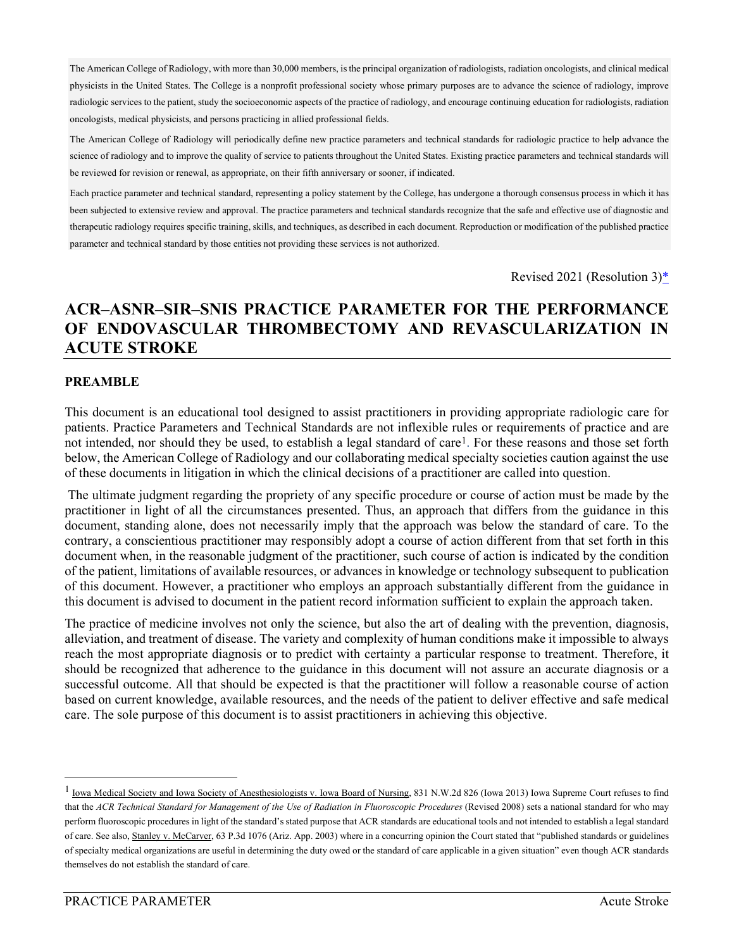The American College of Radiology, with more than 30,000 members, is the principal organization of radiologists, radiation oncologists, and clinical medical physicists in the United States. The College is a nonprofit professional society whose primary purposes are to advance the science of radiology, improve radiologic services to the patient, study the socioeconomic aspects of the practice of radiology, and encourage continuing education for radiologists, radiation oncologists, medical physicists, and persons practicing in allied professional fields.

The American College of Radiology will periodically define new practice parameters and technical standards for radiologic practice to help advance the science of radiology and to improve the quality of service to patients throughout the United States. Existing practice parameters and technical standards will be reviewed for revision or renewal, as appropriate, on their fifth anniversary or sooner, if indicated.

Each practice parameter and technical standard, representing a policy statement by the College, has undergone a thorough consensus process in which it has been subjected to extensive review and approval. The practice parameters and technical standards recognize that the safe and effective use of diagnostic and therapeutic radiology requires specific training, skills, and techniques, as described in each document. Reproduction or modification of the published practice parameter and technical standard by those entities not providing these services is not authorized.

Revised 2021 (Resolution 3[\)\\*](#page-23-0)

## **ACR–ASNR–SIR–SNIS PRACTICE PARAMETER FOR THE PERFORMANCE OF ENDOVASCULAR THROMBECTOMY AND REVASCULARIZATION IN ACUTE STROKE**

#### **PREAMBLE**

This document is an educational tool designed to assist practitioners in providing appropriate radiologic care for patients. Practice Parameters and Technical Standards are not inflexible rules or requirements of practice and are not intended, nor should they be used, to establish a legal standard of care<sup>[1](#page-0-0)</sup>. For these reasons and those set forth below, the American College of Radiology and our collaborating medical specialty societies caution against the use of these documents in litigation in which the clinical decisions of a practitioner are called into question.

The ultimate judgment regarding the propriety of any specific procedure or course of action must be made by the practitioner in light of all the circumstances presented. Thus, an approach that differs from the guidance in this document, standing alone, does not necessarily imply that the approach was below the standard of care. To the contrary, a conscientious practitioner may responsibly adopt a course of action different from that set forth in this document when, in the reasonable judgment of the practitioner, such course of action is indicated by the condition of the patient, limitations of available resources, or advances in knowledge or technology subsequent to publication of this document. However, a practitioner who employs an approach substantially different from the guidance in this document is advised to document in the patient record information sufficient to explain the approach taken.

The practice of medicine involves not only the science, but also the art of dealing with the prevention, diagnosis, alleviation, and treatment of disease. The variety and complexity of human conditions make it impossible to always reach the most appropriate diagnosis or to predict with certainty a particular response to treatment. Therefore, it should be recognized that adherence to the guidance in this document will not assure an accurate diagnosis or a successful outcome. All that should be expected is that the practitioner will follow a reasonable course of action based on current knowledge, available resources, and the needs of the patient to deliver effective and safe medical care. The sole purpose of this document is to assist practitioners in achieving this objective.

<span id="page-0-0"></span><sup>&</sup>lt;sup>1</sup> Iowa Medical Society and Iowa Society of Anesthesiologists v. Iowa Board of Nursing, 831 N.W.2d 826 (Iowa 2013) Iowa Supreme Court refuses to find that the *ACR Technical Standard for Management of the Use of Radiation in Fluoroscopic Procedures* (Revised 2008) sets a national standard for who may perform fluoroscopic procedures in light of the standard's stated purpose that ACR standards are educational tools and not intended to establish a legal standard of care. See also, Stanley v. McCarver, 63 P.3d 1076 (Ariz. App. 2003) where in a concurring opinion the Court stated that "published standards or guidelines of specialty medical organizations are useful in determining the duty owed or the standard of care applicable in a given situation" even though ACR standards themselves do not establish the standard of care.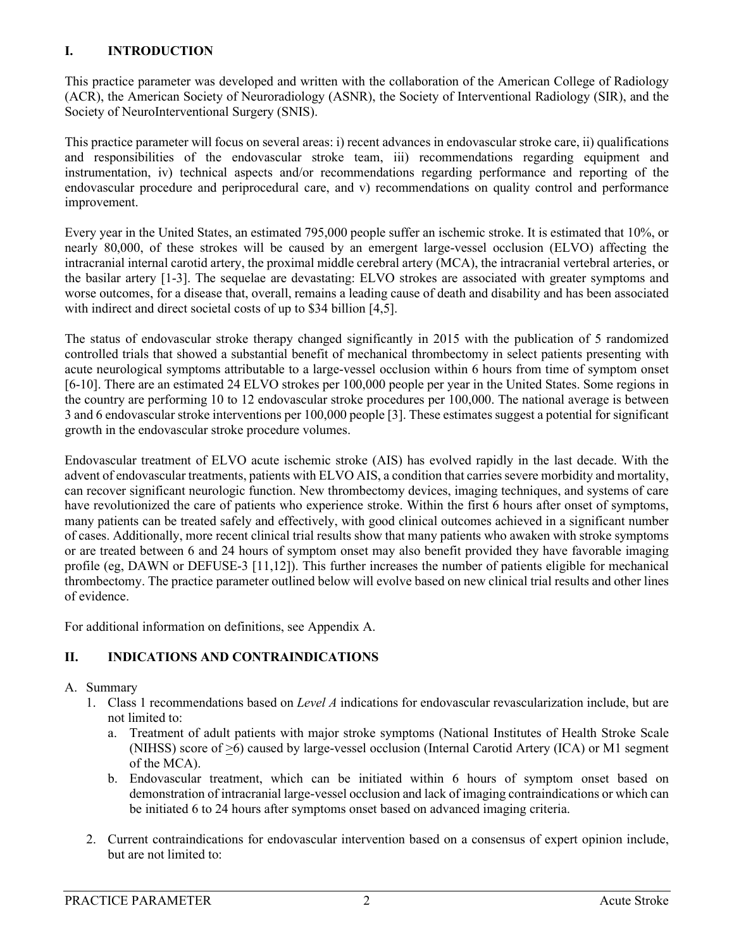#### **I. INTRODUCTION**

This practice parameter was developed and written with the collaboration of the American College of Radiology (ACR), the American Society of Neuroradiology (ASNR), the Society of Interventional Radiology (SIR), and the Society of NeuroInterventional Surgery (SNIS).

This practice parameter will focus on several areas: i) recent advances in endovascular stroke care, ii) qualifications and responsibilities of the endovascular stroke team, iii) recommendations regarding equipment and instrumentation, iv) technical aspects and/or recommendations regarding performance and reporting of the endovascular procedure and periprocedural care, and v) recommendations on quality control and performance improvement.

Every year in the United States, an estimated 795,000 people suffer an ischemic stroke. It is estimated that 10%, or nearly 80,000, of these strokes will be caused by an emergent large-vessel occlusion (ELVO) affecting the intracranial internal carotid artery, the proximal middle cerebral artery (MCA), the intracranial vertebral arteries, or the basilar artery [\[1-3\]](#page-15-0). The sequelae are devastating: ELVO strokes are associated with greater symptoms and worse outcomes, for a disease that, overall, remains a leading cause of death and disability and has been associated with indirect and direct societal costs of up to \$34 billion [\[4](#page-15-1)[,5\]](#page-15-2).

The status of endovascular stroke therapy changed significantly in 2015 with the publication of 5 randomized controlled trials that showed a substantial benefit of mechanical thrombectomy in select patients presenting with acute neurological symptoms attributable to a large-vessel occlusion within 6 hours from time of symptom onset [\[6-10\]](#page-15-3). There are an estimated 24 ELVO strokes per 100,000 people per year in the United States. Some regions in the country are performing 10 to 12 endovascular stroke procedures per 100,000. The national average is between 3 and 6 endovascular stroke interventions per 100,000 people [\[3\]](#page-15-4). These estimates suggest a potential for significant growth in the endovascular stroke procedure volumes.

Endovascular treatment of ELVO acute ischemic stroke (AIS) has evolved rapidly in the last decade. With the advent of endovascular treatments, patients with ELVO AIS, a condition that carries severe morbidity and mortality, can recover significant neurologic function. New thrombectomy devices, imaging techniques, and systems of care have revolutionized the care of patients who experience stroke. Within the first 6 hours after onset of symptoms, many patients can be treated safely and effectively, with good clinical outcomes achieved in a significant number of cases. Additionally, more recent clinical trial results show that many patients who awaken with stroke symptoms or are treated between 6 and 24 hours of symptom onset may also benefit provided they have favorable imaging profile (eg, DAWN or DEFUSE-3 [\[11,](#page-15-5)[12\]](#page-15-6)). This further increases the number of patients eligible for mechanical thrombectomy. The practice parameter outlined below will evolve based on new clinical trial results and other lines of evidence.

For additional information on definitions, see Appendix A.

## **II. INDICATIONS AND CONTRAINDICATIONS**

#### A. Summary

- 1. Class 1 recommendations based on *Level A* indications for endovascular revascularization include, but are not limited to:
	- a. Treatment of adult patients with major stroke symptoms (National Institutes of Health Stroke Scale (NIHSS) score of >6) caused by large-vessel occlusion (Internal Carotid Artery (ICA) or M1 segment of the MCA).
	- b. Endovascular treatment, which can be initiated within 6 hours of symptom onset based on demonstration of intracranial large-vessel occlusion and lack of imaging contraindications or which can be initiated 6 to 24 hours after symptoms onset based on advanced imaging criteria.
- 2. Current contraindications for endovascular intervention based on a consensus of expert opinion include, but are not limited to: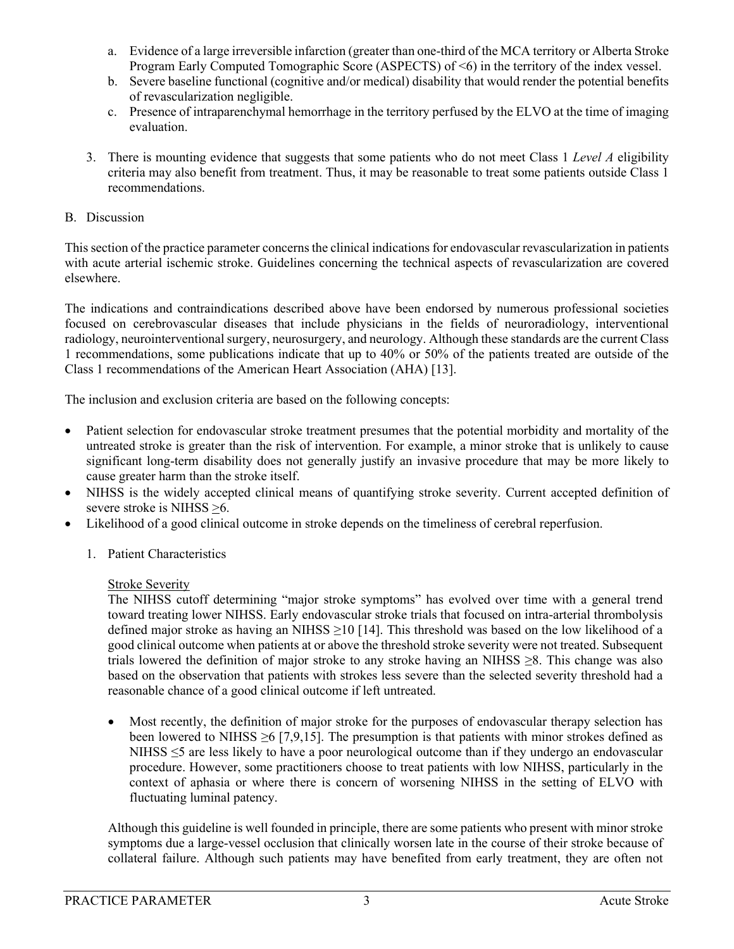- a. Evidence of a large irreversible infarction (greater than one-third of the MCA territory or Alberta Stroke Program Early Computed Tomographic Score (ASPECTS) of <6) in the territory of the index vessel.
- b. Severe baseline functional (cognitive and/or medical) disability that would render the potential benefits of revascularization negligible.
- c. Presence of intraparenchymal hemorrhage in the territory perfused by the ELVO at the time of imaging evaluation.
- 3. There is mounting evidence that suggests that some patients who do not meet Class 1 *Level A* eligibility criteria may also benefit from treatment. Thus, it may be reasonable to treat some patients outside Class 1 recommendations.

#### B. Discussion

This section of the practice parameter concerns the clinical indications for endovascular revascularization in patients with acute arterial ischemic stroke. Guidelines concerning the technical aspects of revascularization are covered elsewhere.

The indications and contraindications described above have been endorsed by numerous professional societies focused on cerebrovascular diseases that include physicians in the fields of neuroradiology, interventional radiology, neurointerventional surgery, neurosurgery, and neurology. Although these standards are the current Class 1 recommendations, some publications indicate that up to 40% or 50% of the patients treated are outside of the Class 1 recommendations of the American Heart Association (AHA) [\[13\]](#page-15-7).

The inclusion and exclusion criteria are based on the following concepts:

- Patient selection for endovascular stroke treatment presumes that the potential morbidity and mortality of the untreated stroke is greater than the risk of intervention. For example, a minor stroke that is unlikely to cause significant long-term disability does not generally justify an invasive procedure that may be more likely to cause greater harm than the stroke itself.
- NIHSS is the widely accepted clinical means of quantifying stroke severity. Current accepted definition of severe stroke is NIHSS >6.
- Likelihood of a good clinical outcome in stroke depends on the timeliness of cerebral reperfusion.
	- 1. Patient Characteristics

#### Stroke Severity

The NIHSS cutoff determining "major stroke symptoms" has evolved over time with a general trend toward treating lower NIHSS. Early endovascular stroke trials that focused on intra-arterial thrombolysis defined major stroke as having an NIHSS  $\geq$ 10 [\[14\]](#page-15-8). This threshold was based on the low likelihood of a good clinical outcome when patients at or above the threshold stroke severity were not treated. Subsequent trials lowered the definition of major stroke to any stroke having an NIHSS ≥8. This change was also based on the observation that patients with strokes less severe than the selected severity threshold had a reasonable chance of a good clinical outcome if left untreated.

• Most recently, the definition of major stroke for the purposes of endovascular therapy selection has been lowered to NIHSS  $\geq 6$  [\[7](#page-15-9)[,9](#page-15-10)[,15\]](#page-15-11). The presumption is that patients with minor strokes defined as NIHSS ≤5 are less likely to have a poor neurological outcome than if they undergo an endovascular procedure. However, some practitioners choose to treat patients with low NIHSS, particularly in the context of aphasia or where there is concern of worsening NIHSS in the setting of ELVO with fluctuating luminal patency.

Although this guideline is well founded in principle, there are some patients who present with minor stroke symptoms due a large-vessel occlusion that clinically worsen late in the course of their stroke because of collateral failure. Although such patients may have benefited from early treatment, they are often not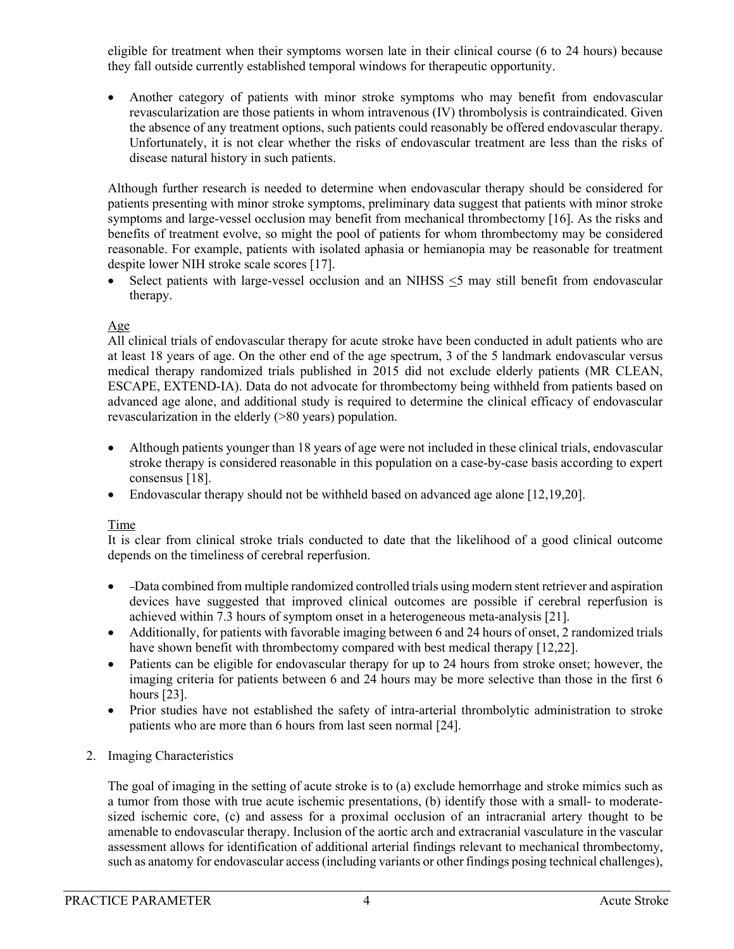eligible for treatment when their symptoms worsen late in their clinical course (6 to 24 hours) because they fall outside currently established temporal windows for therapeutic opportunity.

• Another category of patients with minor stroke symptoms who may benefit from endovascular revascularization are those patients in whom intravenous (IV) thrombolysis is contraindicated. Given the absence of any treatment options, such patients could reasonably be offered endovascular therapy. Unfortunately, it is not clear whether the risks of endovascular treatment are less than the risks of disease natural history in such patients.

Although further research is needed to determine when endovascular therapy should be considered for patients presenting with minor stroke symptoms, preliminary data suggest that patients with minor stroke symptoms and large-vessel occlusion may benefit from mechanical thrombectomy [\[16\]](#page-15-12). As the risks and benefits of treatment evolve, so might the pool of patients for whom thrombectomy may be considered reasonable. For example, patients with isolated aphasia or hemianopia may be reasonable for treatment despite lower NIH stroke scale scores [\[17\]](#page-15-13).

• Select patients with large-vessel occlusion and an NIHSS <5 may still benefit from endovascular therapy.

### Age

All clinical trials of endovascular therapy for acute stroke have been conducted in adult patients who are at least 18 years of age. On the other end of the age spectrum, 3 of the 5 landmark endovascular versus medical therapy randomized trials published in 2015 did not exclude elderly patients (MR CLEAN, ESCAPE, EXTEND-IA). Data do not advocate for thrombectomy being withheld from patients based on advanced age alone, and additional study is required to determine the clinical efficacy of endovascular revascularization in the elderly (>80 years) population.

- Although patients younger than 18 years of age were not included in these clinical trials, endovascular stroke therapy is considered reasonable in this population on a case-by-case basis according to expert consensus [\[18\]](#page-15-14).
- Endovascular therapy should not be withheld based on advanced age alone [\[12](#page-15-6)[,19,](#page-15-15)[20\]](#page-15-16).

#### Time

It is clear from clinical stroke trials conducted to date that the likelihood of a good clinical outcome depends on the timeliness of cerebral reperfusion.

- Data combined from multiple randomized controlled trials using modern stent retriever and aspiration devices have suggested that improved clinical outcomes are possible if cerebral reperfusion is achieved within 7.3 hours of symptom onset in a heterogeneous meta-analysis [\[21\]](#page-16-0).
- Additionally, for patients with favorable imaging between 6 and 24 hours of onset, 2 randomized trials have shown benefit with thrombectomy compared with best medical therapy [\[12,](#page-15-6)[22\]](#page-16-1).
- Patients can be eligible for endovascular therapy for up to 24 hours from stroke onset; however, the imaging criteria for patients between 6 and 24 hours may be more selective than those in the first 6 hours [\[23\]](#page-16-2).
- Prior studies have not established the safety of intra-arterial thrombolytic administration to stroke patients who are more than 6 hours from last seen normal [\[24\]](#page-16-3).

#### 2. Imaging Characteristics

The goal of imaging in the setting of acute stroke is to (a) exclude hemorrhage and stroke mimics such as a tumor from those with true acute ischemic presentations, (b) identify those with a small- to moderatesized ischemic core, (c) and assess for a proximal occlusion of an intracranial artery thought to be amenable to endovascular therapy. Inclusion of the aortic arch and extracranial vasculature in the vascular assessment allows for identification of additional arterial findings relevant to mechanical thrombectomy, such as anatomy for endovascular access (including variants or other findings posing technical challenges),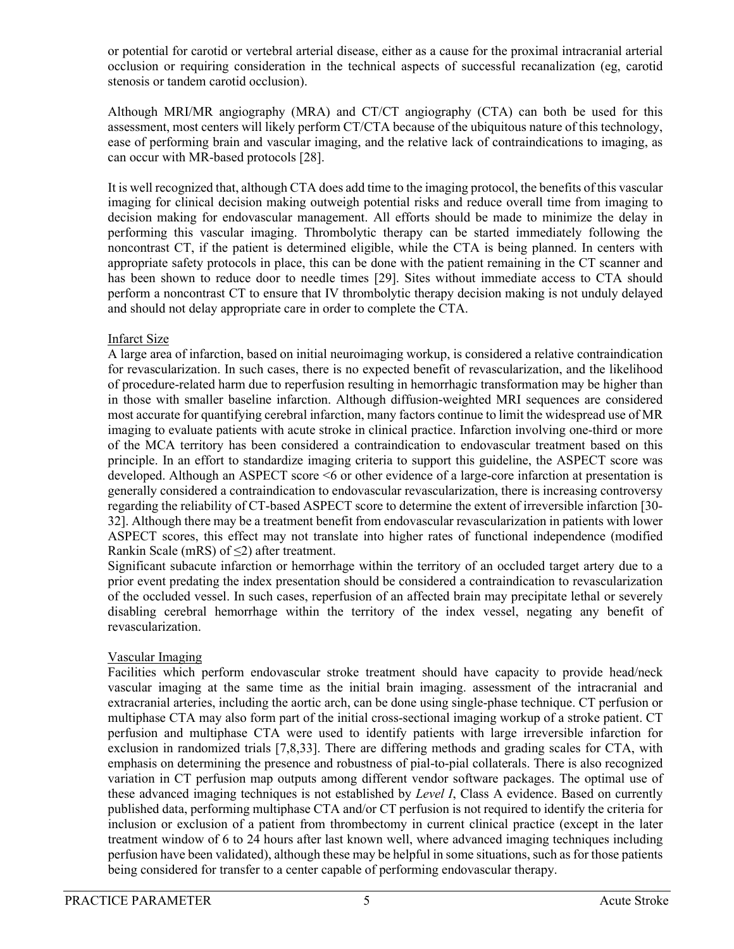or potential for carotid or vertebral arterial disease, either as a cause for the proximal intracranial arterial occlusion or requiring consideration in the technical aspects of successful recanalization (eg, carotid stenosis or tandem carotid occlusion).

Although MRI/MR angiography (MRA) and CT/CT angiography (CTA) can both be used for this assessment, most centers will likely perform CT/CTA because of the ubiquitous nature of this technology, ease of performing brain and vascular imaging, and the relative lack of contraindications to imaging, as can occur with MR-based protocols [\[28\]](#page-16-4).

It is well recognized that, although CTA does add time to the imaging protocol, the benefits of this vascular imaging for clinical decision making outweigh potential risks and reduce overall time from imaging to decision making for endovascular management. All efforts should be made to minimize the delay in performing this vascular imaging. Thrombolytic therapy can be started immediately following the noncontrast CT, if the patient is determined eligible, while the CTA is being planned. In centers with appropriate safety protocols in place, this can be done with the patient remaining in the CT scanner and has been shown to reduce door to needle times [\[29\]](#page-16-5). Sites without immediate access to CTA should perform a noncontrast CT to ensure that IV thrombolytic therapy decision making is not unduly delayed and should not delay appropriate care in order to complete the CTA.

#### Infarct Size

A large area of infarction, based on initial neuroimaging workup, is considered a relative contraindication for revascularization. In such cases, there is no expected benefit of revascularization, and the likelihood of procedure-related harm due to reperfusion resulting in hemorrhagic transformation may be higher than in those with smaller baseline infarction. Although diffusion-weighted MRI sequences are considered most accurate for quantifying cerebral infarction, many factors continue to limit the widespread use of MR imaging to evaluate patients with acute stroke in clinical practice. Infarction involving one-third or more of the MCA territory has been considered a contraindication to endovascular treatment based on this principle. In an effort to standardize imaging criteria to support this guideline, the ASPECT score was developed. Although an ASPECT score <6 or other evidence of a large-core infarction at presentation is generally considered a contraindication to endovascular revascularization, there is increasing controversy regarding the reliability of CT-based ASPECT score to determine the extent of irreversible infarction [\[30-](#page-16-6) [32\]](#page-16-6). Although there may be a treatment benefit from endovascular revascularization in patients with lower ASPECT scores, this effect may not translate into higher rates of functional independence (modified Rankin Scale (mRS) of  $\leq$ 2) after treatment.

Significant subacute infarction or hemorrhage within the territory of an occluded target artery due to a prior event predating the index presentation should be considered a contraindication to revascularization of the occluded vessel. In such cases, reperfusion of an affected brain may precipitate lethal or severely disabling cerebral hemorrhage within the territory of the index vessel, negating any benefit of revascularization.

## Vascular Imaging

Facilities which perform endovascular stroke treatment should have capacity to provide head/neck vascular imaging at the same time as the initial brain imaging. assessment of the intracranial and extracranial arteries, including the aortic arch, can be done using single-phase technique. CT perfusion or multiphase CTA may also form part of the initial cross-sectional imaging workup of a stroke patient. CT perfusion and multiphase CTA were used to identify patients with large irreversible infarction for exclusion in randomized trials [\[7](#page-15-9)[,8](#page-15-17)[,33\]](#page-16-7). There are differing methods and grading scales for CTA, with emphasis on determining the presence and robustness of pial-to-pial collaterals. There is also recognized variation in CT perfusion map outputs among different vendor software packages. The optimal use of these advanced imaging techniques is not established by *Level I*, Class A evidence. Based on currently published data, performing multiphase CTA and/or CT perfusion is not required to identify the criteria for inclusion or exclusion of a patient from thrombectomy in current clinical practice (except in the later treatment window of 6 to 24 hours after last known well, where advanced imaging techniques including perfusion have been validated), although these may be helpful in some situations, such as for those patients being considered for transfer to a center capable of performing endovascular therapy.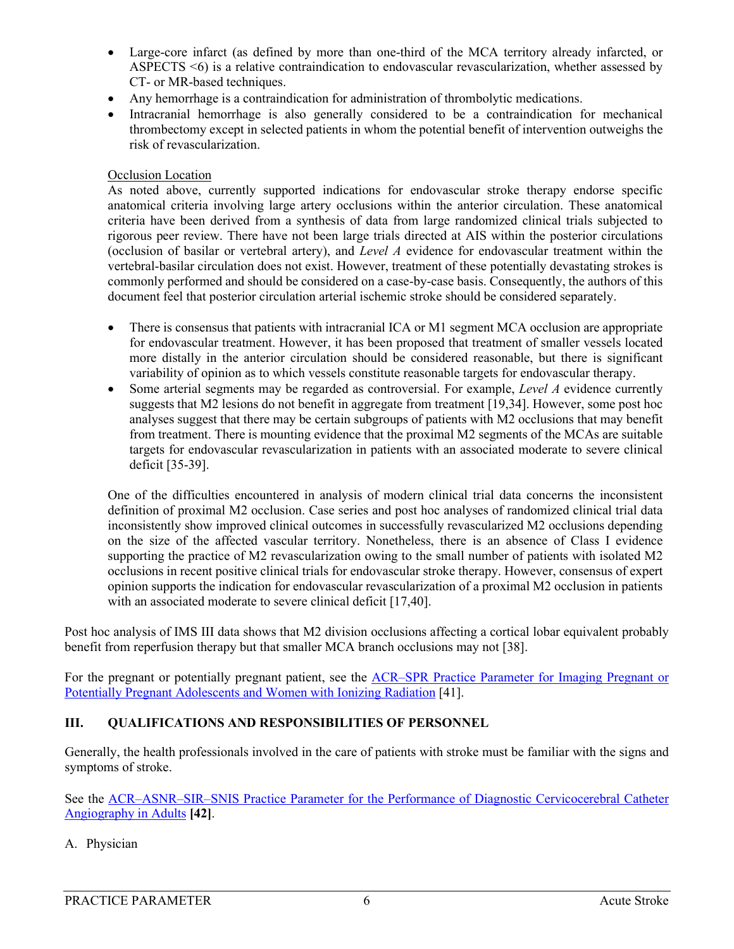- Large-core infarct (as defined by more than one-third of the MCA territory already infarcted, or ASPECTS <6) is a relative contraindication to endovascular revascularization, whether assessed by CT- or MR-based techniques.
- Any hemorrhage is a contraindication for administration of thrombolytic medications.
- Intracranial hemorrhage is also generally considered to be a contraindication for mechanical thrombectomy except in selected patients in whom the potential benefit of intervention outweighs the risk of revascularization.

#### Occlusion Location

As noted above, currently supported indications for endovascular stroke therapy endorse specific anatomical criteria involving large artery occlusions within the anterior circulation. These anatomical criteria have been derived from a synthesis of data from large randomized clinical trials subjected to rigorous peer review. There have not been large trials directed at AIS within the posterior circulations (occlusion of basilar or vertebral artery), and *Level A* evidence for endovascular treatment within the vertebral-basilar circulation does not exist. However, treatment of these potentially devastating strokes is commonly performed and should be considered on a case-by-case basis. Consequently, the authors of this document feel that posterior circulation arterial ischemic stroke should be considered separately.

- There is consensus that patients with intracranial ICA or M1 segment MCA occlusion are appropriate for endovascular treatment. However, it has been proposed that treatment of smaller vessels located more distally in the anterior circulation should be considered reasonable, but there is significant variability of opinion as to which vessels constitute reasonable targets for endovascular therapy.
- Some arterial segments may be regarded as controversial. For example, *Level A* evidence currently suggests that M2 lesions do not benefit in aggregate from treatment [\[19](#page-15-15)[,34\]](#page-16-8). However, some post hoc analyses suggest that there may be certain subgroups of patients with M2 occlusions that may benefit from treatment. There is mounting evidence that the proximal M2 segments of the MCAs are suitable targets for endovascular revascularization in patients with an associated moderate to severe clinical deficit [\[35-39\]](#page-16-9).

One of the difficulties encountered in analysis of modern clinical trial data concerns the inconsistent definition of proximal M2 occlusion. Case series and post hoc analyses of randomized clinical trial data inconsistently show improved clinical outcomes in successfully revascularized M2 occlusions depending on the size of the affected vascular territory. Nonetheless, there is an absence of Class I evidence supporting the practice of M2 revascularization owing to the small number of patients with isolated M2 occlusions in recent positive clinical trials for endovascular stroke therapy. However, consensus of expert opinion supports the indication for endovascular revascularization of a proximal M2 occlusion in patients with an associated moderate to severe clinical deficit [\[17](#page-15-13)[,40\]](#page-16-10).

Post hoc analysis of IMS III data shows that M2 division occlusions affecting a cortical lobar equivalent probably benefit from reperfusion therapy but that smaller MCA branch occlusions may not [\[38\]](#page-16-11).

For the pregnant or potentially pregnant patient, see the [ACR–SPR Practice Parameter for Imaging Pregnant or](https://www.acr.org/-/media/ACR/Files/Practice-Parameters/Pregnant-Pts.pdf?la=en)  [Potentially Pregnant Adolescents and Women with Ionizing Radiation](https://www.acr.org/-/media/ACR/Files/Practice-Parameters/Pregnant-Pts.pdf?la=en) [\[41\]](#page-16-12).

#### **III. QUALIFICATIONS AND RESPONSIBILITIES OF PERSONNEL**

Generally, the health professionals involved in the care of patients with stroke must be familiar with the signs and symptoms of stroke.

See the [ACR–ASNR–SIR–SNIS Practice Parameter for the Performance of Diagnostic Cervicocerebral Catheter](https://www.acr.org/-/media/ACR/Files/Practice-Parameters/CervicoCerebralCathAngio.pdf?la=en)  [Angiography in Adults](https://www.acr.org/-/media/ACR/Files/Practice-Parameters/CervicoCerebralCathAngio.pdf?la=en) **[\[42\]](#page-17-0)**.

A. Physician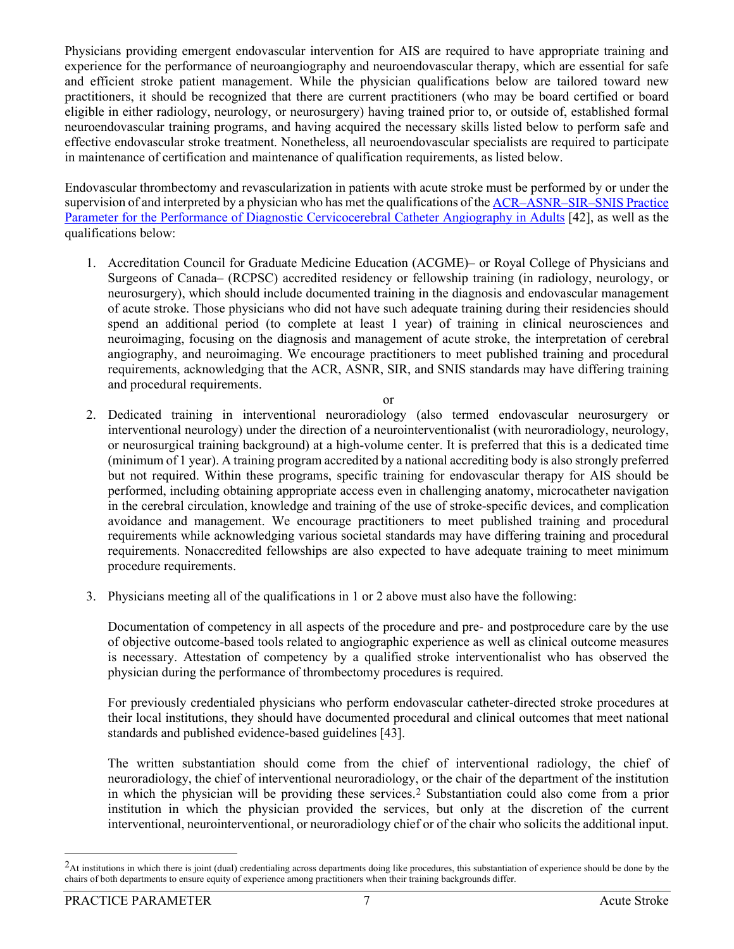Physicians providing emergent endovascular intervention for AIS are required to have appropriate training and experience for the performance of neuroangiography and neuroendovascular therapy, which are essential for safe and efficient stroke patient management. While the physician qualifications below are tailored toward new practitioners, it should be recognized that there are current practitioners (who may be board certified or board eligible in either radiology, neurology, or neurosurgery) having trained prior to, or outside of, established formal neuroendovascular training programs, and having acquired the necessary skills listed below to perform safe and effective endovascular stroke treatment. Nonetheless, all neuroendovascular specialists are required to participate in maintenance of certification and maintenance of qualification requirements, as listed below.

Endovascular thrombectomy and revascularization in patients with acute stroke must be performed by or under the supervision of and interpreted by a physician who has met the qualifications of th[e ACR–ASNR–SIR–SNIS Practice](https://www.acr.org/-/media/ACR/Files/Practice-Parameters/CervicoCerebralCathAngio.pdf?la=en)  [Parameter for the Performance of Diagnostic Cervicocerebral Catheter Angiography in Adults](https://www.acr.org/-/media/ACR/Files/Practice-Parameters/CervicoCerebralCathAngio.pdf?la=en) [\[42\]](#page-17-0), as well as the qualifications below:

1. Accreditation Council for Graduate Medicine Education (ACGME)– or Royal College of Physicians and Surgeons of Canada– (RCPSC) accredited residency or fellowship training (in radiology, neurology, or neurosurgery), which should include documented training in the diagnosis and endovascular management of acute stroke. Those physicians who did not have such adequate training during their residencies should spend an additional period (to complete at least 1 year) of training in clinical neurosciences and neuroimaging, focusing on the diagnosis and management of acute stroke, the interpretation of cerebral angiography, and neuroimaging. We encourage practitioners to meet published training and procedural requirements, acknowledging that the ACR, ASNR, SIR, and SNIS standards may have differing training and procedural requirements.

or

- 2. Dedicated training in interventional neuroradiology (also termed endovascular neurosurgery or interventional neurology) under the direction of a neurointerventionalist (with neuroradiology, neurology, or neurosurgical training background) at a high-volume center. It is preferred that this is a dedicated time (minimum of 1 year). A training program accredited by a national accrediting body is also strongly preferred but not required. Within these programs, specific training for endovascular therapy for AIS should be performed, including obtaining appropriate access even in challenging anatomy, microcatheter navigation in the cerebral circulation, knowledge and training of the use of stroke-specific devices, and complication avoidance and management. We encourage practitioners to meet published training and procedural requirements while acknowledging various societal standards may have differing training and procedural requirements. Nonaccredited fellowships are also expected to have adequate training to meet minimum procedure requirements.
- 3. Physicians meeting all of the qualifications in 1 or 2 above must also have the following:

Documentation of competency in all aspects of the procedure and pre- and postprocedure care by the use of objective outcome-based tools related to angiographic experience as well as clinical outcome measures is necessary. Attestation of competency by a qualified stroke interventionalist who has observed the physician during the performance of thrombectomy procedures is required.

For previously credentialed physicians who perform endovascular catheter-directed stroke procedures at their local institutions, they should have documented procedural and clinical outcomes that meet national standards and published evidence-based guidelines [\[43\]](#page-17-1).

The written substantiation should come from the chief of interventional radiology, the chief of neuroradiology, the chief of interventional neuroradiology, or the chair of the department of the institution in which the physician will be providing these services.[2](#page-6-0) Substantiation could also come from a prior institution in which the physician provided the services, but only at the discretion of the current interventional, neurointerventional, or neuroradiology chief or of the chair who solicits the additional input.

<span id="page-6-0"></span> $<sup>2</sup>$ At institutions in which there is joint (dual) credentialing across departments doing like procedures, this substantiation of experience should be done by the</sup> chairs of both departments to ensure equity of experience among practitioners when their training backgrounds differ.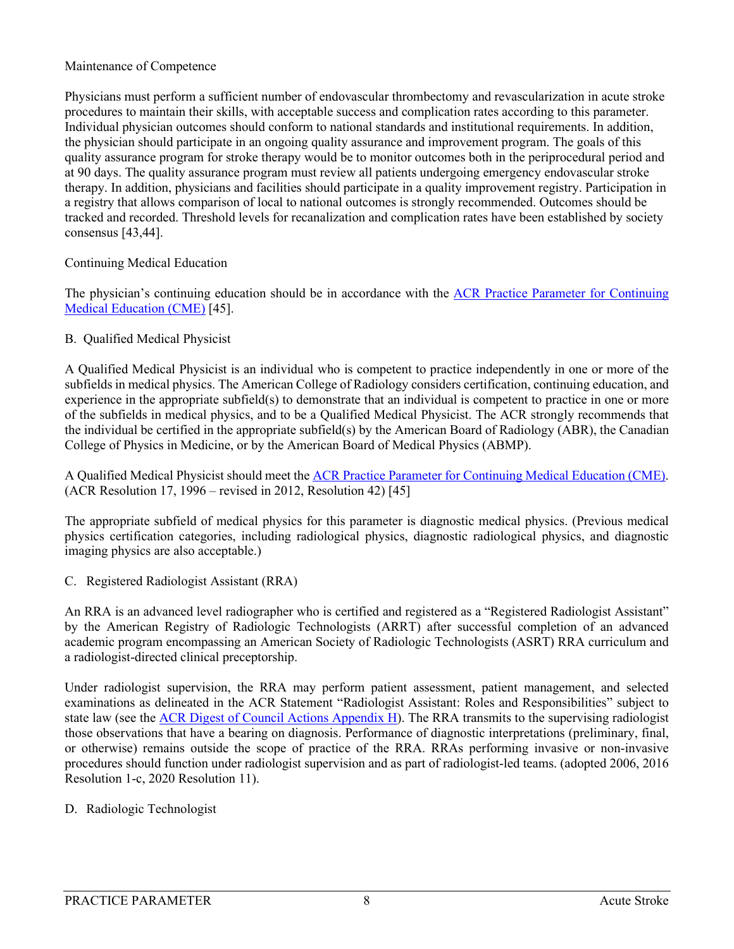#### Maintenance of Competence

Physicians must perform a sufficient number of endovascular thrombectomy and revascularization in acute stroke procedures to maintain their skills, with acceptable success and complication rates according to this parameter. Individual physician outcomes should conform to national standards and institutional requirements. In addition, the physician should participate in an ongoing quality assurance and improvement program. The goals of this quality assurance program for stroke therapy would be to monitor outcomes both in the periprocedural period and at 90 days. The quality assurance program must review all patients undergoing emergency endovascular stroke therapy. In addition, physicians and facilities should participate in a quality improvement registry. Participation in a registry that allows comparison of local to national outcomes is strongly recommended. Outcomes should be tracked and recorded. Threshold levels for recanalization and complication rates have been established by society consensus [\[43](#page-17-1)[,44\]](#page-17-2).

#### Continuing Medical Education

The physician's continuing education should be in accordance with the [ACR Practice Parameter](https://www.acr.org/-/media/ACR/Files/Practice-Parameters/CME.pdf?la=en) [for Continuing](https://www.acr.org/-/media/ACR/Files/Practice-Parameters/CME.pdf?la=en)  [Medical Education \(CME\)](https://www.acr.org/-/media/ACR/Files/Practice-Parameters/CME.pdf?la=en) [\[45\]](#page-17-3).

### B. Qualified Medical Physicist

A Qualified Medical Physicist is an individual who is competent to practice independently in one or more of the subfields in medical physics. The American College of Radiology considers certification, continuing education, and experience in the appropriate subfield(s) to demonstrate that an individual is competent to practice in one or more of the subfields in medical physics, and to be a Qualified Medical Physicist. The ACR strongly recommends that the individual be certified in the appropriate subfield(s) by the American Board of Radiology (ABR), the Canadian College of Physics in Medicine, or by the American Board of Medical Physics (ABMP).

A Qualified Medical Physicist should meet the [ACR Practice Parameter](https://www.acr.org/-/media/ACR/Files/Practice-Parameters/CME.pdf?la=en) [for Continuing Medical Education \(CME\).](https://www.acr.org/-/media/ACR/Files/Practice-Parameters/CME.pdf?la=en) (ACR Resolution 17, 1996 – revised in 2012, Resolution 42) [\[45\]](#page-17-3)

The appropriate subfield of medical physics for this parameter is diagnostic medical physics. (Previous medical physics certification categories, including radiological physics, diagnostic radiological physics, and diagnostic imaging physics are also acceptable.)

C. Registered Radiologist Assistant (RRA)

An RRA is an advanced level radiographer who is certified and registered as a "Registered Radiologist Assistant" by the American Registry of Radiologic Technologists (ARRT) after successful completion of an advanced academic program encompassing an American Society of Radiologic Technologists (ASRT) RRA curriculum and a radiologist-directed clinical preceptorship.

Under radiologist supervision, the RRA may perform patient assessment, patient management, and selected examinations as delineated in the ACR Statement "Radiologist Assistant: Roles and Responsibilities" subject to state law (see the [ACR Digest of Council Actions Appendix H\)](https://www.acr.org/-/media/ACR/Files/Governance/Digest-of-Council-Actions.pdf). The RRA transmits to the supervising radiologist those observations that have a bearing on diagnosis. Performance of diagnostic interpretations (preliminary, final, or otherwise) remains outside the scope of practice of the RRA. RRAs performing invasive or non-invasive procedures should function under radiologist supervision and as part of radiologist-led teams. (adopted 2006, 2016 Resolution 1-c, 2020 Resolution 11).

## D. Radiologic Technologist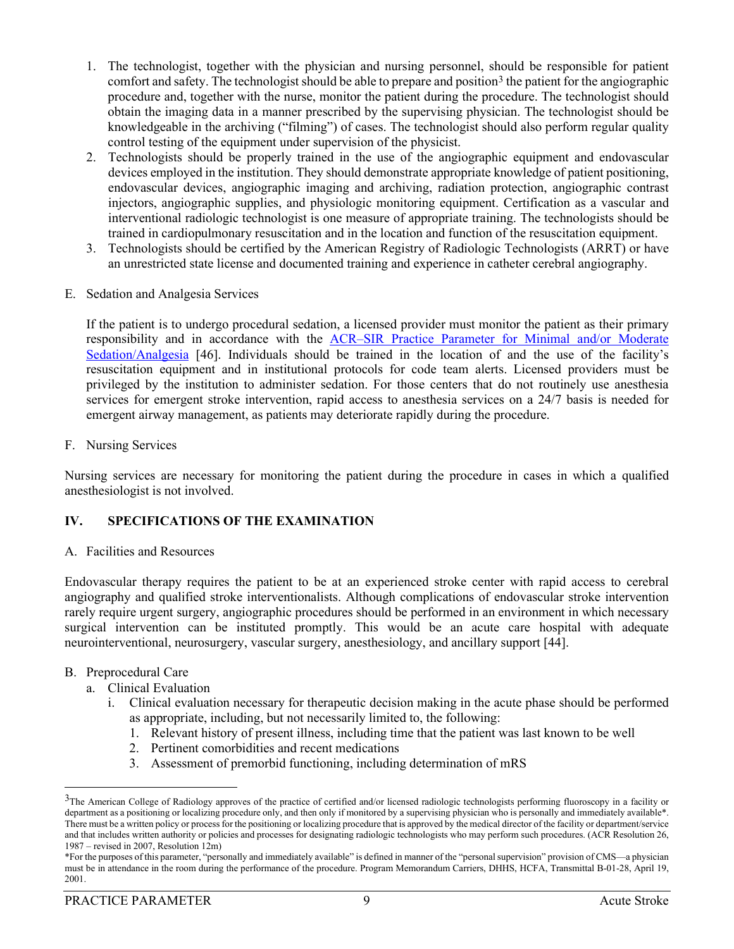- 1. The technologist, together with the physician and nursing personnel, should be responsible for patient comfort and safety. The technologist should be able to prepare and position<sup>[3](#page-8-0)</sup> the patient for the angiographic procedure and, together with the nurse, monitor the patient during the procedure. The technologist should obtain the imaging data in a manner prescribed by the supervising physician. The technologist should be knowledgeable in the archiving ("filming") of cases. The technologist should also perform regular quality control testing of the equipment under supervision of the physicist.
- 2. Technologists should be properly trained in the use of the angiographic equipment and endovascular devices employed in the institution. They should demonstrate appropriate knowledge of patient positioning, endovascular devices, angiographic imaging and archiving, radiation protection, angiographic contrast injectors, angiographic supplies, and physiologic monitoring equipment. Certification as a vascular and interventional radiologic technologist is one measure of appropriate training. The technologists should be trained in cardiopulmonary resuscitation and in the location and function of the resuscitation equipment.
- 3. Technologists should be certified by the American Registry of Radiologic Technologists (ARRT) or have an unrestricted state license and documented training and experience in catheter cerebral angiography.
- E. Sedation and Analgesia Services

If the patient is to undergo procedural sedation, a licensed provider must monitor the patient as their primary responsibility and in accordance with the [ACR–SIR Practice Parameter for Minimal and/or Moderate](https://www.acr.org/-/media/ACR/Files/Practice-Parameters/Sed-Analgesia.pdf?la=en)  [Sedation/Analgesia](https://www.acr.org/-/media/ACR/Files/Practice-Parameters/Sed-Analgesia.pdf?la=en) [\[46\]](#page-17-4). Individuals should be trained in the location of and the use of the facility's resuscitation equipment and in institutional protocols for code team alerts. Licensed providers must be privileged by the institution to administer sedation. For those centers that do not routinely use anesthesia services for emergent stroke intervention, rapid access to anesthesia services on a 24/7 basis is needed for emergent airway management, as patients may deteriorate rapidly during the procedure.

#### F. Nursing Services

Nursing services are necessary for monitoring the patient during the procedure in cases in which a qualified anesthesiologist is not involved.

#### **IV. SPECIFICATIONS OF THE EXAMINATION**

A. Facilities and Resources

Endovascular therapy requires the patient to be at an experienced stroke center with rapid access to cerebral angiography and qualified stroke interventionalists. Although complications of endovascular stroke intervention rarely require urgent surgery, angiographic procedures should be performed in an environment in which necessary surgical intervention can be instituted promptly. This would be an acute care hospital with adequate neurointerventional, neurosurgery, vascular surgery, anesthesiology, and ancillary support [\[44\]](#page-17-2).

#### B. Preprocedural Care

- a. Clinical Evaluation
	- i. Clinical evaluation necessary for therapeutic decision making in the acute phase should be performed as appropriate, including, but not necessarily limited to, the following:
		- 1. Relevant history of present illness, including time that the patient was last known to be well
		- 2. Pertinent comorbidities and recent medications
		- 3. Assessment of premorbid functioning, including determination of mRS

<span id="page-8-0"></span><sup>&</sup>lt;sup>3</sup>The American College of Radiology approves of the practice of certified and/or licensed radiologic technologists performing fluoroscopy in a facility or department as a positioning or localizing procedure only, and then only if monitored by a supervising physician who is personally and immediately available\*. There must be a written policy or process for the positioning or localizing procedure that is approved by the medical director of the facility or department/service and that includes written authority or policies and processes for designating radiologic technologists who may perform such procedures. (ACR Resolution 26, 1987 – revised in 2007, Resolution 12m)

<sup>\*</sup>For the purposes of this parameter, "personally and immediately available" is defined in manner of the "personal supervision" provision of CMS—a physician must be in attendance in the room during the performance of the procedure. Program Memorandum Carriers, DHHS, HCFA, Transmittal B-01-28, April 19, 2001.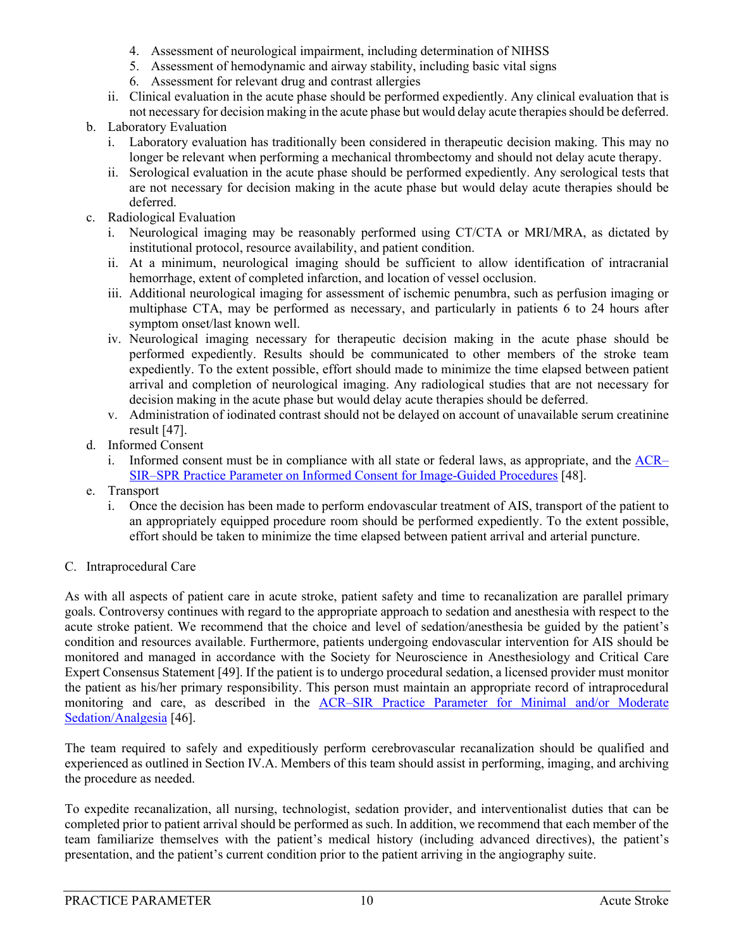- 4. Assessment of neurological impairment, including determination of NIHSS
- 5. Assessment of hemodynamic and airway stability, including basic vital signs
- 6. Assessment for relevant drug and contrast allergies
- ii. Clinical evaluation in the acute phase should be performed expediently. Any clinical evaluation that is not necessary for decision making in the acute phase but would delay acute therapies should be deferred.
- b. Laboratory Evaluation
	- i. Laboratory evaluation has traditionally been considered in therapeutic decision making. This may no longer be relevant when performing a mechanical thrombectomy and should not delay acute therapy.
	- ii. Serological evaluation in the acute phase should be performed expediently. Any serological tests that are not necessary for decision making in the acute phase but would delay acute therapies should be deferred.
- c. Radiological Evaluation
	- i. Neurological imaging may be reasonably performed using CT/CTA or MRI/MRA, as dictated by institutional protocol, resource availability, and patient condition.
	- ii. At a minimum, neurological imaging should be sufficient to allow identification of intracranial hemorrhage, extent of completed infarction, and location of vessel occlusion.
	- iii. Additional neurological imaging for assessment of ischemic penumbra, such as perfusion imaging or multiphase CTA, may be performed as necessary, and particularly in patients 6 to 24 hours after symptom onset/last known well.
	- iv. Neurological imaging necessary for therapeutic decision making in the acute phase should be performed expediently. Results should be communicated to other members of the stroke team expediently. To the extent possible, effort should made to minimize the time elapsed between patient arrival and completion of neurological imaging. Any radiological studies that are not necessary for decision making in the acute phase but would delay acute therapies should be deferred.
	- v. Administration of iodinated contrast should not be delayed on account of unavailable serum creatinine result [\[47\]](#page-17-5).
- d. Informed Consent
	- i. Informed consent must be in compliance with all state or federal laws, as appropriate, and the  $\triangle$ CR $-$ SIR–SPR [Practice Parameter on Informed Consent](https://www.acr.org/-/media/ACR/Files/Practice-Parameters/InformedConsent-ImagGuided.pdf?la=en) for Image-Guided Procedures [\[48\]](#page-17-6).
- e. Transport
	- i. Once the decision has been made to perform endovascular treatment of AIS, transport of the patient to an appropriately equipped procedure room should be performed expediently. To the extent possible, effort should be taken to minimize the time elapsed between patient arrival and arterial puncture.
- C. Intraprocedural Care

As with all aspects of patient care in acute stroke, patient safety and time to recanalization are parallel primary goals. Controversy continues with regard to the appropriate approach to sedation and anesthesia with respect to the acute stroke patient. We recommend that the choice and level of sedation/anesthesia be guided by the patient's condition and resources available. Furthermore, patients undergoing endovascular intervention for AIS should be monitored and managed in accordance with the Society for Neuroscience in Anesthesiology and Critical Care Expert Consensus Statement [\[49\]](#page-17-7). If the patient is to undergo procedural sedation, a licensed provider must monitor the patient as his/her primary responsibility. This person must maintain an appropriate record of intraprocedural monitoring and care, as described in the [ACR–SIR Practice Parameter for Minimal and/or Moderate](https://www.acr.org/-/media/ACR/Files/Practice-Parameters/Sed-Analgesia.pdf?la=en)  [Sedation/Analgesia](https://www.acr.org/-/media/ACR/Files/Practice-Parameters/Sed-Analgesia.pdf?la=en) [\[46\]](#page-17-4).

The team required to safely and expeditiously perform cerebrovascular recanalization should be qualified and experienced as outlined in Section IV.A. Members of this team should assist in performing, imaging, and archiving the procedure as needed.

To expedite recanalization, all nursing, technologist, sedation provider, and interventionalist duties that can be completed prior to patient arrival should be performed as such. In addition, we recommend that each member of the team familiarize themselves with the patient's medical history (including advanced directives), the patient's presentation, and the patient's current condition prior to the patient arriving in the angiography suite.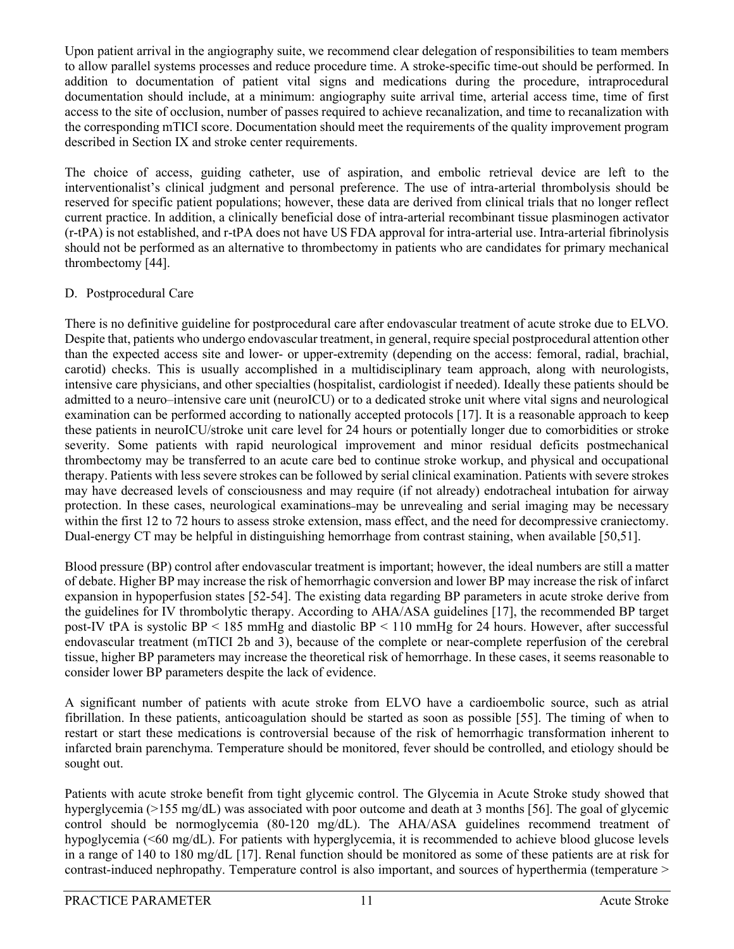Upon patient arrival in the angiography suite, we recommend clear delegation of responsibilities to team members to allow parallel systems processes and reduce procedure time. A stroke-specific time-out should be performed. In addition to documentation of patient vital signs and medications during the procedure, intraprocedural documentation should include, at a minimum: angiography suite arrival time, arterial access time, time of first access to the site of occlusion, number of passes required to achieve recanalization, and time to recanalization with the corresponding mTICI score. Documentation should meet the requirements of the quality improvement program described in Section IX and stroke center requirements.

The choice of access, guiding catheter, use of aspiration, and embolic retrieval device are left to the interventionalist's clinical judgment and personal preference. The use of intra-arterial thrombolysis should be reserved for specific patient populations; however, these data are derived from clinical trials that no longer reflect current practice. In addition, a clinically beneficial dose of intra-arterial recombinant tissue plasminogen activator (r-tPA) is not established, and r-tPA does not have US FDA approval for intra-arterial use. Intra-arterial fibrinolysis should not be performed as an alternative to thrombectomy in patients who are candidates for primary mechanical thrombectomy [\[44\]](#page-17-2).

### D. Postprocedural Care

There is no definitive guideline for postprocedural care after endovascular treatment of acute stroke due to ELVO. Despite that, patients who undergo endovascular treatment, in general, require special postprocedural attention other than the expected access site and lower- or upper-extremity (depending on the access: femoral, radial, brachial, carotid) checks. This is usually accomplished in a multidisciplinary team approach, along with neurologists, intensive care physicians, and other specialties (hospitalist, cardiologist if needed). Ideally these patients should be admitted to a neuro–intensive care unit (neuroICU) or to a dedicated stroke unit where vital signs and neurological examination can be performed according to nationally accepted protocols [\[17\]](#page-15-13). It is a reasonable approach to keep these patients in neuroICU/stroke unit care level for 24 hours or potentially longer due to comorbidities or stroke severity. Some patients with rapid neurological improvement and minor residual deficits postmechanical thrombectomy may be transferred to an acute care bed to continue stroke workup, and physical and occupational therapy. Patients with less severe strokes can be followed by serial clinical examination. Patients with severe strokes may have decreased levels of consciousness and may require (if not already) endotracheal intubation for airway protection. In these cases, neurological examinations may be unrevealing and serial imaging may be necessary within the first 12 to 72 hours to assess stroke extension, mass effect, and the need for decompressive craniectomy. Dual-energy CT may be helpful in distinguishing hemorrhage from contrast staining, when available [\[50](#page-17-8)[,51\]](#page-17-9).

Blood pressure (BP) control after endovascular treatment is important; however, the ideal numbers are still a matter of debate. Higher BP may increase the risk of hemorrhagic conversion and lower BP may increase the risk of infarct expansion in hypoperfusion states [\[52-54\]](#page-17-10). The existing data regarding BP parameters in acute stroke derive from the guidelines for IV thrombolytic therapy. According to AHA/ASA guidelines [\[17\]](#page-15-13), the recommended BP target post-IV tPA is systolic BP < 185 mmHg and diastolic BP < 110 mmHg for 24 hours. However, after successful endovascular treatment (mTICI 2b and 3), because of the complete or near-complete reperfusion of the cerebral tissue, higher BP parameters may increase the theoretical risk of hemorrhage. In these cases, it seems reasonable to consider lower BP parameters despite the lack of evidence.

A significant number of patients with acute stroke from ELVO have a cardioembolic source, such as atrial fibrillation. In these patients, anticoagulation should be started as soon as possible [\[55\]](#page-17-11). The timing of when to restart or start these medications is controversial because of the risk of hemorrhagic transformation inherent to infarcted brain parenchyma. Temperature should be monitored, fever should be controlled, and etiology should be sought out.

Patients with acute stroke benefit from tight glycemic control. The Glycemia in Acute Stroke study showed that hyperglycemia (>155 mg/dL) was associated with poor outcome and death at 3 months [\[56\]](#page-17-12). The goal of glycemic control should be normoglycemia (80-120 mg/dL). The AHA/ASA guidelines recommend treatment of hypoglycemia (<60 mg/dL). For patients with hyperglycemia, it is recommended to achieve blood glucose levels in a range of 140 to 180 mg/dL [\[17\]](#page-15-13). Renal function should be monitored as some of these patients are at risk for contrast-induced nephropathy. Temperature control is also important, and sources of hyperthermia (temperature >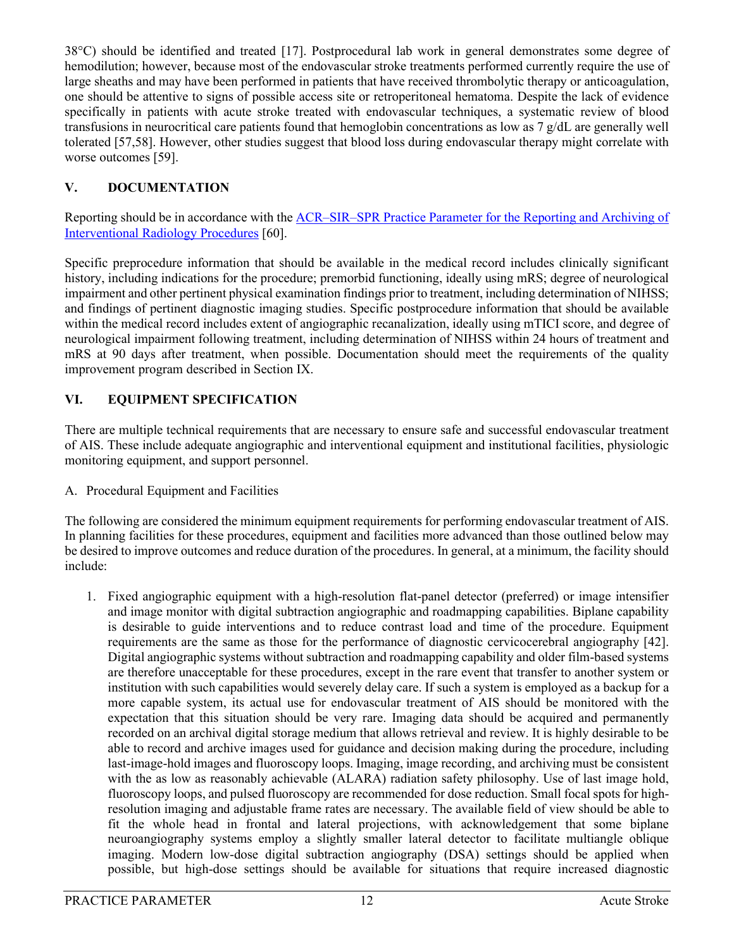38°C) should be identified and treated [\[17\]](#page-15-13). Postprocedural lab work in general demonstrates some degree of hemodilution; however, because most of the endovascular stroke treatments performed currently require the use of large sheaths and may have been performed in patients that have received thrombolytic therapy or anticoagulation, one should be attentive to signs of possible access site or retroperitoneal hematoma. Despite the lack of evidence specifically in patients with acute stroke treated with endovascular techniques, a systematic review of blood transfusions in neurocritical care patients found that hemoglobin concentrations as low as 7 g/dL are generally well tolerated [\[57](#page-17-13)[,58\]](#page-17-14). However, other studies suggest that blood loss during endovascular therapy might correlate with worse outcomes [\[59\]](#page-17-15).

## **V. DOCUMENTATION**

Reporting should be in accordance with the [ACR–SIR–SPR Practice Parameter for the Reporting and Archiving of](https://www.acr.org/-/media/ACR/Files/Practice-Parameters/Reporting-Archiv.pdf?la=en)  [Interventional Radiology Procedures](https://www.acr.org/-/media/ACR/Files/Practice-Parameters/Reporting-Archiv.pdf?la=en) [\[60\]](#page-17-16).

Specific preprocedure information that should be available in the medical record includes clinically significant history, including indications for the procedure; premorbid functioning, ideally using mRS; degree of neurological impairment and other pertinent physical examination findings prior to treatment, including determination of NIHSS; and findings of pertinent diagnostic imaging studies. Specific postprocedure information that should be available within the medical record includes extent of angiographic recanalization, ideally using mTICI score, and degree of neurological impairment following treatment, including determination of NIHSS within 24 hours of treatment and mRS at 90 days after treatment, when possible. Documentation should meet the requirements of the quality improvement program described in Section IX.

## **VI. EQUIPMENT SPECIFICATION**

There are multiple technical requirements that are necessary to ensure safe and successful endovascular treatment of AIS. These include adequate angiographic and interventional equipment and institutional facilities, physiologic monitoring equipment, and support personnel.

A. Procedural Equipment and Facilities

The following are considered the minimum equipment requirements for performing endovascular treatment of AIS. In planning facilities for these procedures, equipment and facilities more advanced than those outlined below may be desired to improve outcomes and reduce duration of the procedures. In general, at a minimum, the facility should include:

1. Fixed angiographic equipment with a high-resolution flat-panel detector (preferred) or image intensifier and image monitor with digital subtraction angiographic and roadmapping capabilities. Biplane capability is desirable to guide interventions and to reduce contrast load and time of the procedure. Equipment requirements are the same as those for the performance of diagnostic cervicocerebral angiography [\[42\]](#page-17-0). Digital angiographic systems without subtraction and roadmapping capability and older film-based systems are therefore unacceptable for these procedures, except in the rare event that transfer to another system or institution with such capabilities would severely delay care. If such a system is employed as a backup for a more capable system, its actual use for endovascular treatment of AIS should be monitored with the expectation that this situation should be very rare. Imaging data should be acquired and permanently recorded on an archival digital storage medium that allows retrieval and review. It is highly desirable to be able to record and archive images used for guidance and decision making during the procedure, including last-image-hold images and fluoroscopy loops. Imaging, image recording, and archiving must be consistent with the as low as reasonably achievable (ALARA) radiation safety philosophy. Use of last image hold, fluoroscopy loops, and pulsed fluoroscopy are recommended for dose reduction. Small focal spots for highresolution imaging and adjustable frame rates are necessary. The available field of view should be able to fit the whole head in frontal and lateral projections, with acknowledgement that some biplane neuroangiography systems employ a slightly smaller lateral detector to facilitate multiangle oblique imaging. Modern low-dose digital subtraction angiography (DSA) settings should be applied when possible, but high-dose settings should be available for situations that require increased diagnostic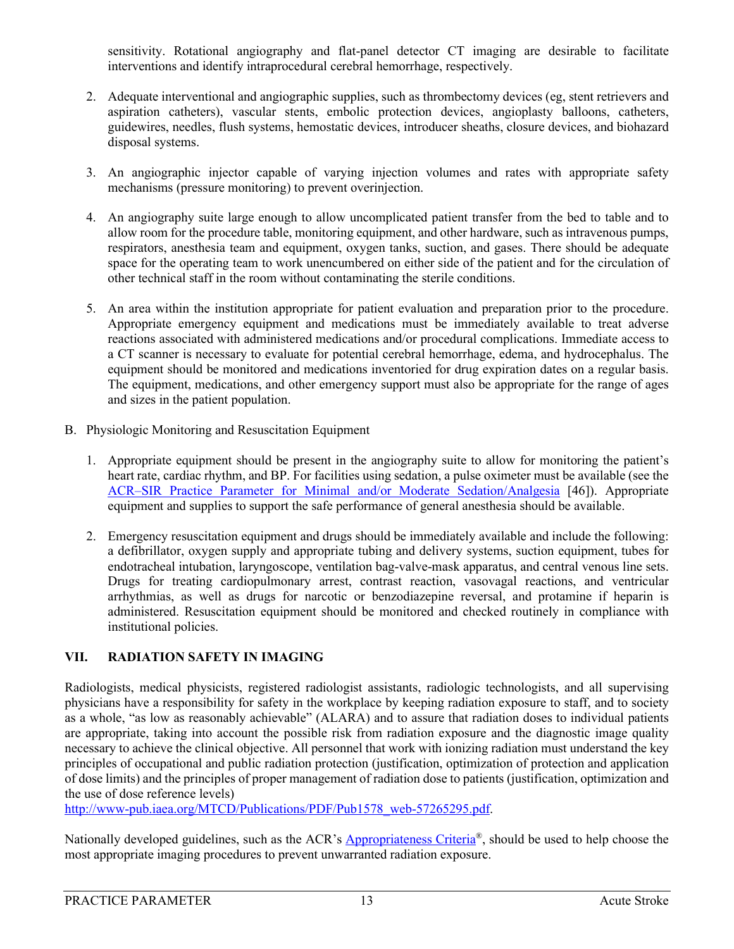sensitivity. Rotational angiography and flat-panel detector CT imaging are desirable to facilitate interventions and identify intraprocedural cerebral hemorrhage, respectively.

- 2. Adequate interventional and angiographic supplies, such as thrombectomy devices (eg, stent retrievers and aspiration catheters), vascular stents, embolic protection devices, angioplasty balloons, catheters, guidewires, needles, flush systems, hemostatic devices, introducer sheaths, closure devices, and biohazard disposal systems.
- 3. An angiographic injector capable of varying injection volumes and rates with appropriate safety mechanisms (pressure monitoring) to prevent overinjection.
- 4. An angiography suite large enough to allow uncomplicated patient transfer from the bed to table and to allow room for the procedure table, monitoring equipment, and other hardware, such as intravenous pumps, respirators, anesthesia team and equipment, oxygen tanks, suction, and gases. There should be adequate space for the operating team to work unencumbered on either side of the patient and for the circulation of other technical staff in the room without contaminating the sterile conditions.
- 5. An area within the institution appropriate for patient evaluation and preparation prior to the procedure. Appropriate emergency equipment and medications must be immediately available to treat adverse reactions associated with administered medications and/or procedural complications. Immediate access to a CT scanner is necessary to evaluate for potential cerebral hemorrhage, edema, and hydrocephalus. The equipment should be monitored and medications inventoried for drug expiration dates on a regular basis. The equipment, medications, and other emergency support must also be appropriate for the range of ages and sizes in the patient population.
- B. Physiologic Monitoring and Resuscitation Equipment
	- 1. Appropriate equipment should be present in the angiography suite to allow for monitoring the patient's heart rate, cardiac rhythm, and BP. For facilities using sedation, a pulse oximeter must be available (see the [ACR–SIR Practice Parameter for Minimal and/or Moderate Sedation/Analgesia](https://www.acr.org/-/media/ACR/Files/Practice-Parameters/Sed-Analgesia.pdf?la=en) [\[46\]](#page-17-4)). Appropriate equipment and supplies to support the safe performance of general anesthesia should be available.
	- 2. Emergency resuscitation equipment and drugs should be immediately available and include the following: a defibrillator, oxygen supply and appropriate tubing and delivery systems, suction equipment, tubes for endotracheal intubation, laryngoscope, ventilation bag-valve-mask apparatus, and central venous line sets. Drugs for treating cardiopulmonary arrest, contrast reaction, vasovagal reactions, and ventricular arrhythmias, as well as drugs for narcotic or benzodiazepine reversal, and protamine if heparin is administered. Resuscitation equipment should be monitored and checked routinely in compliance with institutional policies.

## **VII. RADIATION SAFETY IN IMAGING**

Radiologists, medical physicists, registered radiologist assistants, radiologic technologists, and all supervising physicians have a responsibility for safety in the workplace by keeping radiation exposure to staff, and to society as a whole, "as low as reasonably achievable" (ALARA) and to assure that radiation doses to individual patients are appropriate, taking into account the possible risk from radiation exposure and the diagnostic image quality necessary to achieve the clinical objective. All personnel that work with ionizing radiation must understand the key principles of occupational and public radiation protection (justification, optimization of protection and application of dose limits) and the principles of proper management of radiation dose to patients (justification, optimization and the use of dose reference levels)

[http://www-pub.iaea.org/MTCD/Publications/PDF/Pub1578\\_web-57265295.pdf.](http://www-pub.iaea.org/MTCD/Publications/PDF/Pub1578_web-57265295.pdf)

Nationally developed guidelines, such as the ACR's **Appropriateness Criteria®**, should be used to help choose the most appropriate imaging procedures to prevent unwarranted radiation exposure.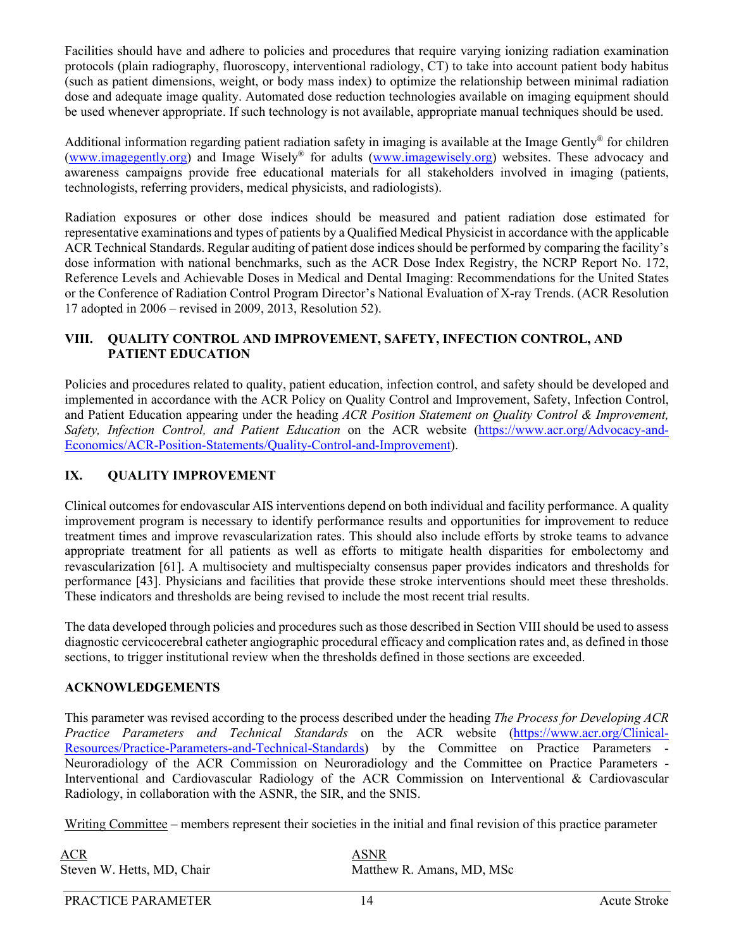Facilities should have and adhere to policies and procedures that require varying ionizing radiation examination protocols (plain radiography, fluoroscopy, interventional radiology, CT) to take into account patient body habitus (such as patient dimensions, weight, or body mass index) to optimize the relationship between minimal radiation dose and adequate image quality. Automated dose reduction technologies available on imaging equipment should be used whenever appropriate. If such technology is not available, appropriate manual techniques should be used.

Additional information regarding patient radiation safety in imaging is available at the Image Gently® for children [\(www.imagegently.org\)](http://www.imagegently.org/) and Image Wisely® for adults [\(www.imagewisely.org\)](http://www.imagewisely.org/) websites. These advocacy and awareness campaigns provide free educational materials for all stakeholders involved in imaging (patients, technologists, referring providers, medical physicists, and radiologists).

Radiation exposures or other dose indices should be measured and patient radiation dose estimated for representative examinations and types of patients by a Qualified Medical Physicist in accordance with the applicable ACR Technical Standards. Regular auditing of patient dose indices should be performed by comparing the facility's dose information with national benchmarks, such as the ACR Dose Index Registry, the NCRP Report No. 172, Reference Levels and Achievable Doses in Medical and Dental Imaging: Recommendations for the United States or the Conference of Radiation Control Program Director's National Evaluation of X-ray Trends. (ACR Resolution 17 adopted in 2006 – revised in 2009, 2013, Resolution 52).

#### **VIII. QUALITY CONTROL AND IMPROVEMENT, SAFETY, INFECTION CONTROL, AND PATIENT EDUCATION**

Policies and procedures related to quality, patient education, infection control, and safety should be developed and implemented in accordance with the ACR Policy on Quality Control and Improvement, Safety, Infection Control, and Patient Education appearing under the heading *ACR Position Statement on Quality Control & Improvement, Safety, Infection Control, and Patient Education* on the ACR website [\(https://www.acr.org/Advocacy-and-](https://www.acr.org/Advocacy-and-Economics/ACR-Position-Statements/Quality-Control-and-Improvement)[Economics/ACR-Position-Statements/Quality-Control-and-Improvement\)](https://www.acr.org/Advocacy-and-Economics/ACR-Position-Statements/Quality-Control-and-Improvement).

#### **IX. QUALITY IMPROVEMENT**

Clinical outcomes for endovascular AIS interventions depend on both individual and facility performance. A quality improvement program is necessary to identify performance results and opportunities for improvement to reduce treatment times and improve revascularization rates. This should also include efforts by stroke teams to advance appropriate treatment for all patients as well as efforts to mitigate health disparities for embolectomy and revascularization [\[61\]](#page-18-0). A multisociety and multispecialty consensus paper provides indicators and thresholds for performance [\[43\]](#page-17-1). Physicians and facilities that provide these stroke interventions should meet these thresholds. These indicators and thresholds are being revised to include the most recent trial results.

The data developed through policies and procedures such as those described in Section VIII should be used to assess diagnostic cervicocerebral catheter angiographic procedural efficacy and complication rates and, as defined in those sections, to trigger institutional review when the thresholds defined in those sections are exceeded.

#### **ACKNOWLEDGEMENTS**

This parameter was revised according to the process described under the heading *The Process for Developing ACR Practice Parameters and Technical Standards* on the ACR website [\(https://www.acr.org/Clinical-](https://www.acr.org/Clinical-Resources/Practice-Parameters-and-Technical-Standards)[Resources/Practice-Parameters-and-Technical-Standards\)](https://www.acr.org/Clinical-Resources/Practice-Parameters-and-Technical-Standards) by the Committee on Practice Parameters - Neuroradiology of the ACR Commission on Neuroradiology and the Committee on Practice Parameters - Interventional and Cardiovascular Radiology of the ACR Commission on Interventional & Cardiovascular Radiology, in collaboration with the ASNR, the SIR, and the SNIS.

Writing Committee – members represent their societies in the initial and final revision of this practice parameter

| ACR                        | <b>ASNR</b> |
|----------------------------|-------------|
| Steven W. Hetts, MD, Chair | Matthe      |

Matthew R. Amans, MD, MSc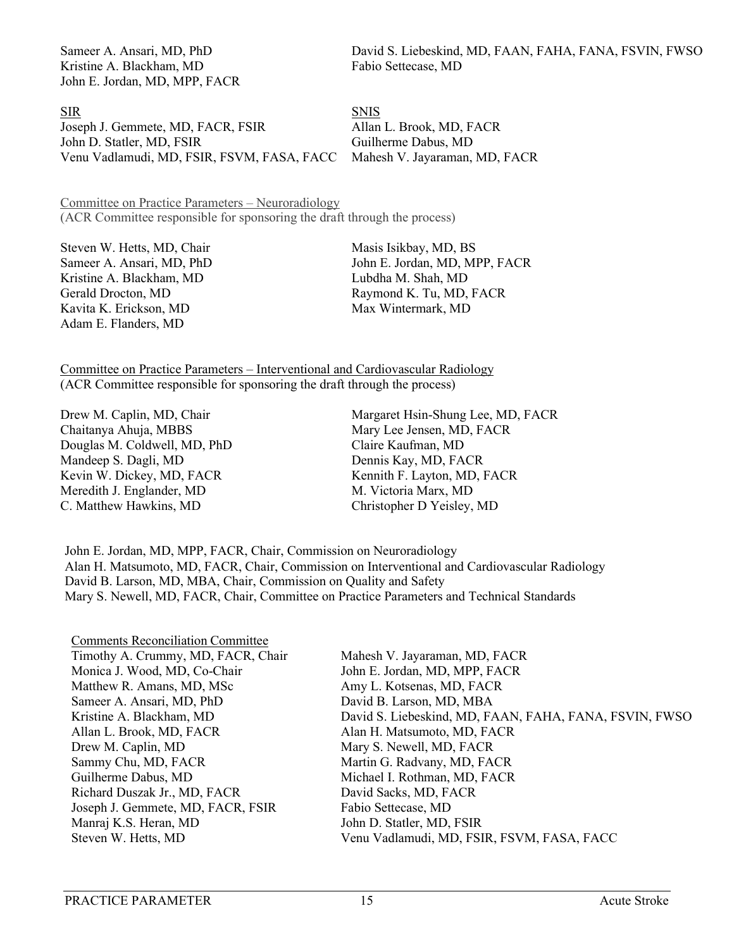Kristine A. Blackham, MD Fabio Settecase, MD John E. Jordan, MD, MPP, FACR

Sameer A. Ansari, MD, PhD David S. Liebeskind, MD, FAAN, FAHA, FANA, FSVIN, FWSO

SIR SNIS Joseph J. Gemmete, MD, FACR, FSIR Allan L. Brook, MD, FACR John D. Statler, MD, FSIR Guilherme Dabus, MD Venu Vadlamudi, MD, FSIR, FSVM, FASA, FACC Mahesh V. Jayaraman, MD, FACR

Committee on Practice Parameters – Neuroradiology (ACR Committee responsible for sponsoring the draft through the process)

Steven W. Hetts, MD, Chair Masis Isikbay, MD, BS Kristine A. Blackham, MD Lubdha M. Shah, MD Gerald Drocton, MD Raymond K. Tu, MD, FACR Kavita K. Erickson, MD Max Wintermark, MD Adam E. Flanders, MD

Sameer A. Ansari, MD, PhD John E. Jordan, MD, MPP, FACR

Committee on Practice Parameters – Interventional and Cardiovascular Radiology (ACR Committee responsible for sponsoring the draft through the process)

Chaitanya Ahuja, MBBS Mary Lee Jensen, MD, FACR Douglas M. Coldwell, MD, PhD Claire Kaufman, MD Mandeep S. Dagli, MD Dennis Kay, MD, FACR Kevin W. Dickey, MD, FACR Kennith F. Layton, MD, FACR Meredith J. Englander, MD M. Victoria Marx, MD C. Matthew Hawkins, MD Christopher D Yeisley, MD

Drew M. Caplin, MD, Chair Margaret Hsin-Shung Lee, MD, FACR

John E. Jordan, MD, MPP, FACR, Chair, Commission on Neuroradiology Alan H. Matsumoto, MD, FACR, Chair, Commission on Interventional and Cardiovascular Radiology David B. Larson, MD, MBA, Chair, Commission on Quality and Safety Mary S. Newell, MD, FACR, Chair, Committee on Practice Parameters and Technical Standards

| <b>Comments Reconciliation Committee</b> |
|------------------------------------------|
| Timothy A. Crummy, MD, FACR, Chair       |
| Monica J. Wood, MD, Co-Chair             |
| Matthew R. Amans, MD, MSc                |
| Sameer A. Ansari, MD, PhD                |
| Kristine A. Blackham, MD                 |
| Allan L. Brook, MD, FACR                 |
| Drew M. Caplin, MD                       |
| Sammy Chu, MD, FACR                      |
| Guilherme Dabus, MD                      |
| Richard Duszak Jr., MD, FACR             |
| Joseph J. Gemmete, MD, FACR, FSIR        |
| Manraj K.S. Heran, MD                    |
| Steven W. Hetts, MD                      |

Mahesh V. Jayaraman, MD, FACR John E. Jordan, MD, MPP, FACR Amy L. Kotsenas, MD, FACR David B. Larson, MD, MBA David S. Liebeskind, MD, FAAN, FAHA, FANA, FSVIN, FWSO Alan H. Matsumoto, MD, FACR Mary S. Newell, MD, FACR Martin G. Radvany, MD, FACR Michael I. Rothman, MD, FACR David Sacks, MD, FACR Fabio Settecase, MD John D. Statler, MD, FSIR Venu Vadlamudi, MD, FSIR, FSVM, FASA, FACC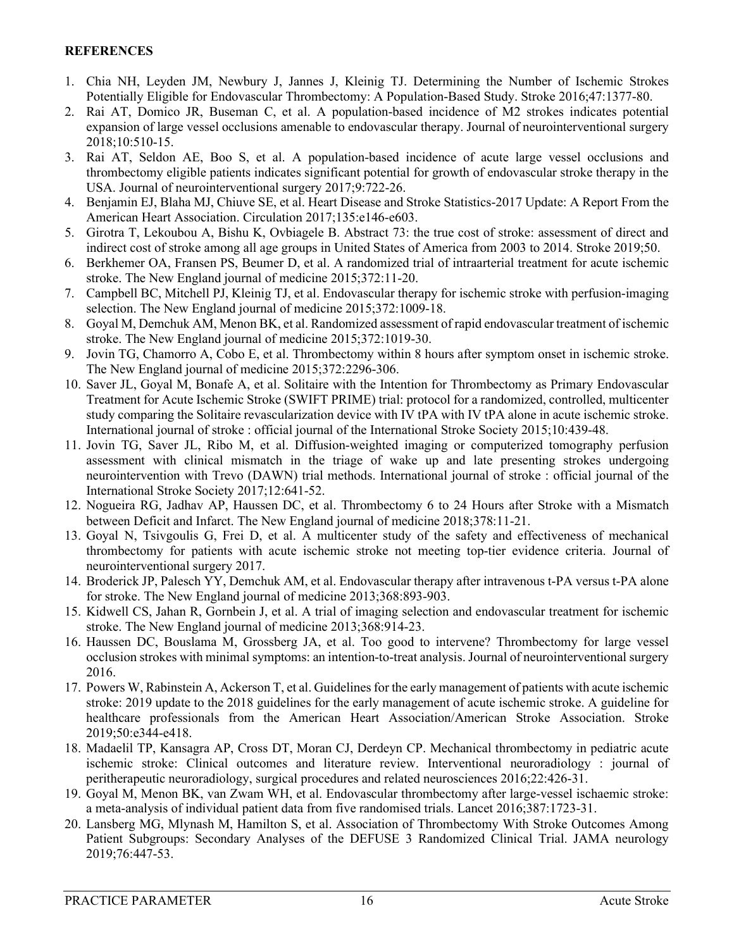#### **REFERENCES**

- <span id="page-15-0"></span>1. Chia NH, Leyden JM, Newbury J, Jannes J, Kleinig TJ. Determining the Number of Ischemic Strokes Potentially Eligible for Endovascular Thrombectomy: A Population-Based Study. Stroke 2016;47:1377-80.
- 2. Rai AT, Domico JR, Buseman C, et al. A population-based incidence of M2 strokes indicates potential expansion of large vessel occlusions amenable to endovascular therapy. Journal of neurointerventional surgery 2018;10:510-15.
- <span id="page-15-4"></span>3. Rai AT, Seldon AE, Boo S, et al. A population-based incidence of acute large vessel occlusions and thrombectomy eligible patients indicates significant potential for growth of endovascular stroke therapy in the USA. Journal of neurointerventional surgery 2017;9:722-26.
- <span id="page-15-1"></span>4. Benjamin EJ, Blaha MJ, Chiuve SE, et al. Heart Disease and Stroke Statistics-2017 Update: A Report From the American Heart Association. Circulation 2017;135:e146-e603.
- <span id="page-15-2"></span>5. Girotra T, Lekoubou A, Bishu K, Ovbiagele B. Abstract 73: the true cost of stroke: assessment of direct and indirect cost of stroke among all age groups in United States of America from 2003 to 2014. Stroke 2019;50.
- <span id="page-15-3"></span>6. Berkhemer OA, Fransen PS, Beumer D, et al. A randomized trial of intraarterial treatment for acute ischemic stroke. The New England journal of medicine 2015;372:11-20.
- <span id="page-15-9"></span>7. Campbell BC, Mitchell PJ, Kleinig TJ, et al. Endovascular therapy for ischemic stroke with perfusion-imaging selection. The New England journal of medicine 2015;372:1009-18.
- <span id="page-15-17"></span>8. Goyal M, Demchuk AM, Menon BK, et al. Randomized assessment of rapid endovascular treatment of ischemic stroke. The New England journal of medicine 2015;372:1019-30.
- <span id="page-15-10"></span>9. Jovin TG, Chamorro A, Cobo E, et al. Thrombectomy within 8 hours after symptom onset in ischemic stroke. The New England journal of medicine 2015;372:2296-306.
- 10. Saver JL, Goyal M, Bonafe A, et al. Solitaire with the Intention for Thrombectomy as Primary Endovascular Treatment for Acute Ischemic Stroke (SWIFT PRIME) trial: protocol for a randomized, controlled, multicenter study comparing the Solitaire revascularization device with IV tPA with IV tPA alone in acute ischemic stroke. International journal of stroke : official journal of the International Stroke Society 2015;10:439-48.
- <span id="page-15-5"></span>11. Jovin TG, Saver JL, Ribo M, et al. Diffusion-weighted imaging or computerized tomography perfusion assessment with clinical mismatch in the triage of wake up and late presenting strokes undergoing neurointervention with Trevo (DAWN) trial methods. International journal of stroke : official journal of the International Stroke Society 2017;12:641-52.
- <span id="page-15-6"></span>12. Nogueira RG, Jadhav AP, Haussen DC, et al. Thrombectomy 6 to 24 Hours after Stroke with a Mismatch between Deficit and Infarct. The New England journal of medicine 2018;378:11-21.
- <span id="page-15-7"></span>13. Goyal N, Tsivgoulis G, Frei D, et al. A multicenter study of the safety and effectiveness of mechanical thrombectomy for patients with acute ischemic stroke not meeting top-tier evidence criteria. Journal of neurointerventional surgery 2017.
- <span id="page-15-8"></span>14. Broderick JP, Palesch YY, Demchuk AM, et al. Endovascular therapy after intravenous t-PA versus t-PA alone for stroke. The New England journal of medicine 2013;368:893-903.
- <span id="page-15-11"></span>15. Kidwell CS, Jahan R, Gornbein J, et al. A trial of imaging selection and endovascular treatment for ischemic stroke. The New England journal of medicine 2013;368:914-23.
- <span id="page-15-12"></span>16. Haussen DC, Bouslama M, Grossberg JA, et al. Too good to intervene? Thrombectomy for large vessel occlusion strokes with minimal symptoms: an intention-to-treat analysis. Journal of neurointerventional surgery 2016.
- <span id="page-15-13"></span>17. Powers W, Rabinstein A, Ackerson T, et al. Guidelines for the early management of patients with acute ischemic stroke: 2019 update to the 2018 guidelines for the early management of acute ischemic stroke. A guideline for healthcare professionals from the American Heart Association/American Stroke Association. Stroke 2019;50:e344-e418.
- <span id="page-15-14"></span>18. Madaelil TP, Kansagra AP, Cross DT, Moran CJ, Derdeyn CP. Mechanical thrombectomy in pediatric acute ischemic stroke: Clinical outcomes and literature review. Interventional neuroradiology : journal of peritherapeutic neuroradiology, surgical procedures and related neurosciences 2016;22:426-31.
- <span id="page-15-15"></span>19. Goyal M, Menon BK, van Zwam WH, et al. Endovascular thrombectomy after large-vessel ischaemic stroke: a meta-analysis of individual patient data from five randomised trials. Lancet 2016;387:1723-31.
- <span id="page-15-16"></span>20. Lansberg MG, Mlynash M, Hamilton S, et al. Association of Thrombectomy With Stroke Outcomes Among Patient Subgroups: Secondary Analyses of the DEFUSE 3 Randomized Clinical Trial. JAMA neurology 2019;76:447-53.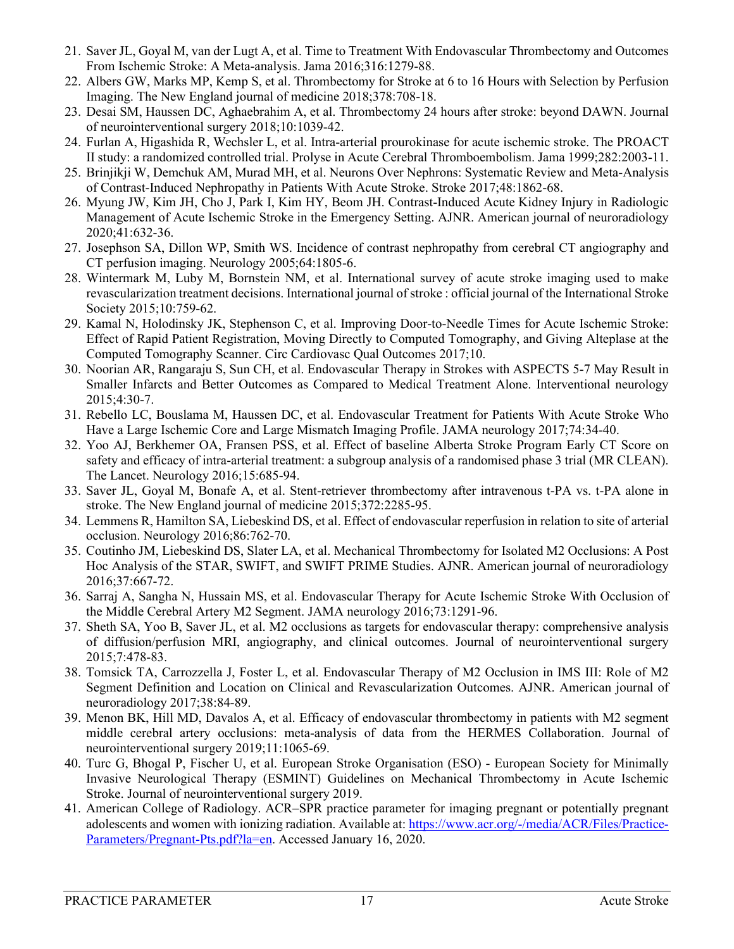- <span id="page-16-0"></span>21. Saver JL, Goyal M, van der Lugt A, et al. Time to Treatment With Endovascular Thrombectomy and Outcomes From Ischemic Stroke: A Meta-analysis. Jama 2016;316:1279-88.
- <span id="page-16-1"></span>22. Albers GW, Marks MP, Kemp S, et al. Thrombectomy for Stroke at 6 to 16 Hours with Selection by Perfusion Imaging. The New England journal of medicine 2018;378:708-18.
- <span id="page-16-2"></span>23. Desai SM, Haussen DC, Aghaebrahim A, et al. Thrombectomy 24 hours after stroke: beyond DAWN. Journal of neurointerventional surgery 2018;10:1039-42.
- <span id="page-16-3"></span>24. Furlan A, Higashida R, Wechsler L, et al. Intra-arterial prourokinase for acute ischemic stroke. The PROACT II study: a randomized controlled trial. Prolyse in Acute Cerebral Thromboembolism. Jama 1999;282:2003-11.
- 25. Brinjikji W, Demchuk AM, Murad MH, et al. Neurons Over Nephrons: Systematic Review and Meta-Analysis of Contrast-Induced Nephropathy in Patients With Acute Stroke. Stroke 2017;48:1862-68.
- 26. Myung JW, Kim JH, Cho J, Park I, Kim HY, Beom JH. Contrast-Induced Acute Kidney Injury in Radiologic Management of Acute Ischemic Stroke in the Emergency Setting. AJNR. American journal of neuroradiology 2020;41:632-36.
- 27. Josephson SA, Dillon WP, Smith WS. Incidence of contrast nephropathy from cerebral CT angiography and CT perfusion imaging. Neurology 2005;64:1805-6.
- <span id="page-16-4"></span>28. Wintermark M, Luby M, Bornstein NM, et al. International survey of acute stroke imaging used to make revascularization treatment decisions. International journal of stroke : official journal of the International Stroke Society 2015;10:759-62.
- <span id="page-16-5"></span>29. Kamal N, Holodinsky JK, Stephenson C, et al. Improving Door-to-Needle Times for Acute Ischemic Stroke: Effect of Rapid Patient Registration, Moving Directly to Computed Tomography, and Giving Alteplase at the Computed Tomography Scanner. Circ Cardiovasc Qual Outcomes 2017;10.
- <span id="page-16-6"></span>30. Noorian AR, Rangaraju S, Sun CH, et al. Endovascular Therapy in Strokes with ASPECTS 5-7 May Result in Smaller Infarcts and Better Outcomes as Compared to Medical Treatment Alone. Interventional neurology 2015;4:30-7.
- 31. Rebello LC, Bouslama M, Haussen DC, et al. Endovascular Treatment for Patients With Acute Stroke Who Have a Large Ischemic Core and Large Mismatch Imaging Profile. JAMA neurology 2017;74:34-40.
- 32. Yoo AJ, Berkhemer OA, Fransen PSS, et al. Effect of baseline Alberta Stroke Program Early CT Score on safety and efficacy of intra-arterial treatment: a subgroup analysis of a randomised phase 3 trial (MR CLEAN). The Lancet. Neurology 2016;15:685-94.
- <span id="page-16-7"></span>33. Saver JL, Goyal M, Bonafe A, et al. Stent-retriever thrombectomy after intravenous t-PA vs. t-PA alone in stroke. The New England journal of medicine 2015;372:2285-95.
- <span id="page-16-8"></span>34. Lemmens R, Hamilton SA, Liebeskind DS, et al. Effect of endovascular reperfusion in relation to site of arterial occlusion. Neurology 2016;86:762-70.
- <span id="page-16-9"></span>35. Coutinho JM, Liebeskind DS, Slater LA, et al. Mechanical Thrombectomy for Isolated M2 Occlusions: A Post Hoc Analysis of the STAR, SWIFT, and SWIFT PRIME Studies. AJNR. American journal of neuroradiology 2016;37:667-72.
- 36. Sarraj A, Sangha N, Hussain MS, et al. Endovascular Therapy for Acute Ischemic Stroke With Occlusion of the Middle Cerebral Artery M2 Segment. JAMA neurology 2016;73:1291-96.
- 37. Sheth SA, Yoo B, Saver JL, et al. M2 occlusions as targets for endovascular therapy: comprehensive analysis of diffusion/perfusion MRI, angiography, and clinical outcomes. Journal of neurointerventional surgery 2015;7:478-83.
- <span id="page-16-11"></span>38. Tomsick TA, Carrozzella J, Foster L, et al. Endovascular Therapy of M2 Occlusion in IMS III: Role of M2 Segment Definition and Location on Clinical and Revascularization Outcomes. AJNR. American journal of neuroradiology 2017;38:84-89.
- 39. Menon BK, Hill MD, Davalos A, et al. Efficacy of endovascular thrombectomy in patients with M2 segment middle cerebral artery occlusions: meta-analysis of data from the HERMES Collaboration. Journal of neurointerventional surgery 2019;11:1065-69.
- <span id="page-16-10"></span>40. Turc G, Bhogal P, Fischer U, et al. European Stroke Organisation (ESO) - European Society for Minimally Invasive Neurological Therapy (ESMINT) Guidelines on Mechanical Thrombectomy in Acute Ischemic Stroke. Journal of neurointerventional surgery 2019.
- <span id="page-16-12"></span>41. American College of Radiology. ACR–SPR practice parameter for imaging pregnant or potentially pregnant adolescents and women with ionizing radiation. Available at: [https://www.acr.org/-/media/ACR/Files/Practice-](https://www.acr.org/-/media/ACR/Files/Practice-Parameters/Pregnant-Pts.pdf?la=en)[Parameters/Pregnant-Pts.pdf?la=en.](https://www.acr.org/-/media/ACR/Files/Practice-Parameters/Pregnant-Pts.pdf?la=en) Accessed January 16, 2020.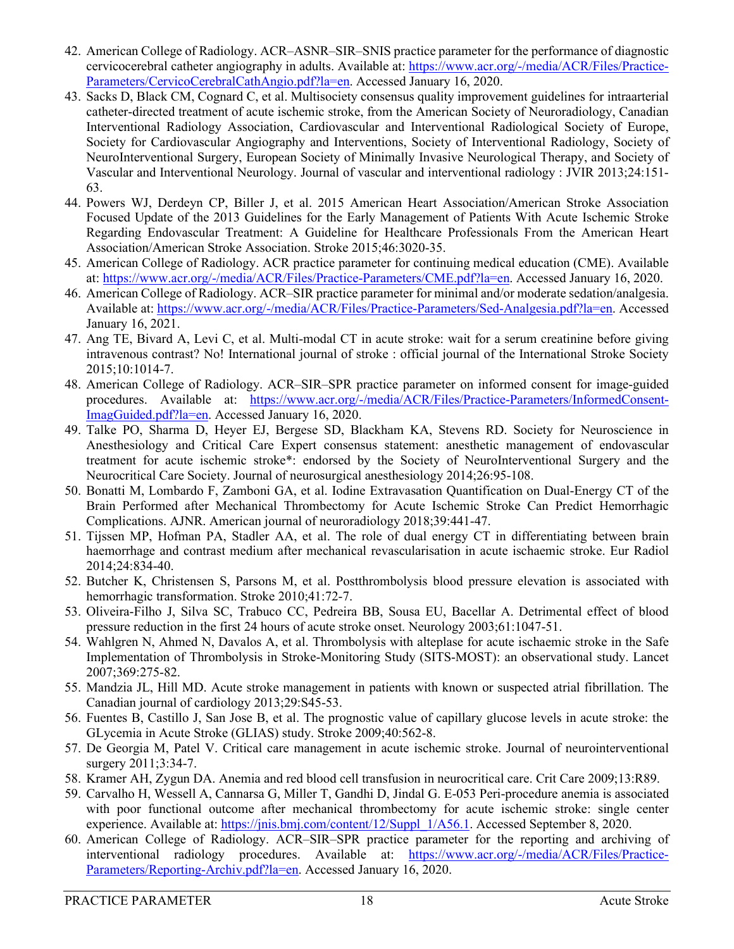- <span id="page-17-0"></span>42. American College of Radiology. ACR–ASNR–SIR–SNIS practice parameter for the performance of diagnostic cervicocerebral catheter angiography in adults. Available at: [https://www.acr.org/-/media/ACR/Files/Practice-](https://www.acr.org/-/media/ACR/Files/Practice-Parameters/CervicoCerebralCathAngio.pdf?la=en)[Parameters/CervicoCerebralCathAngio.pdf?la=en.](https://www.acr.org/-/media/ACR/Files/Practice-Parameters/CervicoCerebralCathAngio.pdf?la=en) Accessed January 16, 2020.
- <span id="page-17-1"></span>43. Sacks D, Black CM, Cognard C, et al. Multisociety consensus quality improvement guidelines for intraarterial catheter-directed treatment of acute ischemic stroke, from the American Society of Neuroradiology, Canadian Interventional Radiology Association, Cardiovascular and Interventional Radiological Society of Europe, Society for Cardiovascular Angiography and Interventions, Society of Interventional Radiology, Society of NeuroInterventional Surgery, European Society of Minimally Invasive Neurological Therapy, and Society of Vascular and Interventional Neurology. Journal of vascular and interventional radiology : JVIR 2013;24:151- 63.
- <span id="page-17-2"></span>44. Powers WJ, Derdeyn CP, Biller J, et al. 2015 American Heart Association/American Stroke Association Focused Update of the 2013 Guidelines for the Early Management of Patients With Acute Ischemic Stroke Regarding Endovascular Treatment: A Guideline for Healthcare Professionals From the American Heart Association/American Stroke Association. Stroke 2015;46:3020-35.
- <span id="page-17-3"></span>45. American College of Radiology. ACR practice parameter for continuing medical education (CME). Available at[: https://www.acr.org/-/media/ACR/Files/Practice-Parameters/CME.pdf?la=en.](https://www.acr.org/-/media/ACR/Files/Practice-Parameters/CME.pdf?la=en) Accessed January 16, 2020.
- <span id="page-17-4"></span>46. American College of Radiology. ACR–SIR practice parameter for minimal and/or moderate sedation/analgesia. Available at: [https://www.acr.org/-/media/ACR/Files/Practice-Parameters/Sed-Analgesia.pdf?la=en.](https://www.acr.org/-/media/ACR/Files/Practice-Parameters/Sed-Analgesia.pdf?la=en) Accessed January 16, 2021.
- <span id="page-17-5"></span>47. Ang TE, Bivard A, Levi C, et al. Multi-modal CT in acute stroke: wait for a serum creatinine before giving intravenous contrast? No! International journal of stroke : official journal of the International Stroke Society 2015;10:1014-7.
- <span id="page-17-6"></span>48. American College of Radiology. ACR–SIR–SPR practice parameter on informed consent for image-guided procedures. Available at: [https://www.acr.org/-/media/ACR/Files/Practice-Parameters/InformedConsent-](https://www.acr.org/-/media/ACR/Files/Practice-Parameters/InformedConsent-ImagGuided.pdf?la=en)[ImagGuided.pdf?la=en.](https://www.acr.org/-/media/ACR/Files/Practice-Parameters/InformedConsent-ImagGuided.pdf?la=en) Accessed January 16, 2020.
- <span id="page-17-7"></span>49. Talke PO, Sharma D, Heyer EJ, Bergese SD, Blackham KA, Stevens RD. Society for Neuroscience in Anesthesiology and Critical Care Expert consensus statement: anesthetic management of endovascular treatment for acute ischemic stroke\*: endorsed by the Society of NeuroInterventional Surgery and the Neurocritical Care Society. Journal of neurosurgical anesthesiology 2014;26:95-108.
- <span id="page-17-8"></span>50. Bonatti M, Lombardo F, Zamboni GA, et al. Iodine Extravasation Quantification on Dual-Energy CT of the Brain Performed after Mechanical Thrombectomy for Acute Ischemic Stroke Can Predict Hemorrhagic Complications. AJNR. American journal of neuroradiology 2018;39:441-47.
- <span id="page-17-9"></span>51. Tijssen MP, Hofman PA, Stadler AA, et al. The role of dual energy CT in differentiating between brain haemorrhage and contrast medium after mechanical revascularisation in acute ischaemic stroke. Eur Radiol 2014;24:834-40.
- <span id="page-17-10"></span>52. Butcher K, Christensen S, Parsons M, et al. Postthrombolysis blood pressure elevation is associated with hemorrhagic transformation. Stroke 2010;41:72-7.
- 53. Oliveira-Filho J, Silva SC, Trabuco CC, Pedreira BB, Sousa EU, Bacellar A. Detrimental effect of blood pressure reduction in the first 24 hours of acute stroke onset. Neurology 2003;61:1047-51.
- 54. Wahlgren N, Ahmed N, Davalos A, et al. Thrombolysis with alteplase for acute ischaemic stroke in the Safe Implementation of Thrombolysis in Stroke-Monitoring Study (SITS-MOST): an observational study. Lancet 2007;369:275-82.
- <span id="page-17-11"></span>55. Mandzia JL, Hill MD. Acute stroke management in patients with known or suspected atrial fibrillation. The Canadian journal of cardiology 2013;29:S45-53.
- <span id="page-17-12"></span>56. Fuentes B, Castillo J, San Jose B, et al. The prognostic value of capillary glucose levels in acute stroke: the GLycemia in Acute Stroke (GLIAS) study. Stroke 2009;40:562-8.
- <span id="page-17-13"></span>57. De Georgia M, Patel V. Critical care management in acute ischemic stroke. Journal of neurointerventional surgery 2011;3:34-7.
- <span id="page-17-14"></span>58. Kramer AH, Zygun DA. Anemia and red blood cell transfusion in neurocritical care. Crit Care 2009;13:R89.
- <span id="page-17-15"></span>59. Carvalho H, Wessell A, Cannarsa G, Miller T, Gandhi D, Jindal G. E-053 Peri-procedure anemia is associated with poor functional outcome after mechanical thrombectomy for acute ischemic stroke: single center experience. Available at: [https://jnis.bmj.com/content/12/Suppl\\_1/A56.1.](https://jnis.bmj.com/content/12/Suppl_1/A56.1) Accessed September 8, 2020.
- <span id="page-17-16"></span>60. American College of Radiology. ACR–SIR–SPR practice parameter for the reporting and archiving of interventional radiology procedures. Available at: [https://www.acr.org/-/media/ACR/Files/Practice-](https://www.acr.org/-/media/ACR/Files/Practice-Parameters/Reporting-Archiv.pdf?la=en)[Parameters/Reporting-Archiv.pdf?la=en.](https://www.acr.org/-/media/ACR/Files/Practice-Parameters/Reporting-Archiv.pdf?la=en) Accessed January 16, 2020.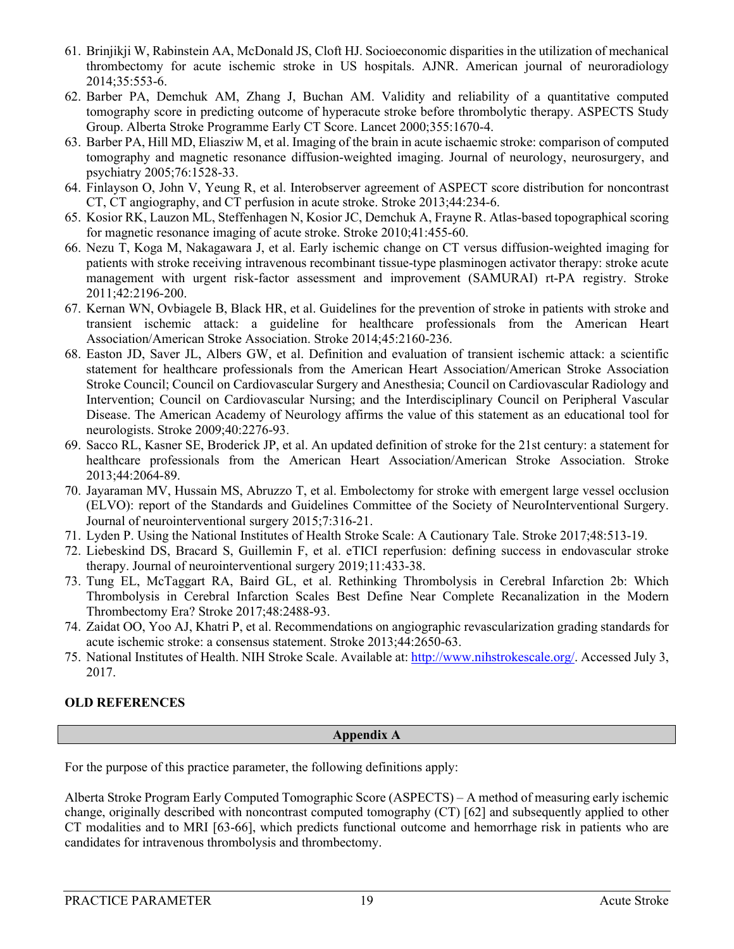- <span id="page-18-0"></span>61. Brinjikji W, Rabinstein AA, McDonald JS, Cloft HJ. Socioeconomic disparities in the utilization of mechanical thrombectomy for acute ischemic stroke in US hospitals. AJNR. American journal of neuroradiology 2014;35:553-6.
- <span id="page-18-1"></span>62. Barber PA, Demchuk AM, Zhang J, Buchan AM. Validity and reliability of a quantitative computed tomography score in predicting outcome of hyperacute stroke before thrombolytic therapy. ASPECTS Study Group. Alberta Stroke Programme Early CT Score. Lancet 2000;355:1670-4.
- <span id="page-18-2"></span>63. Barber PA, Hill MD, Eliasziw M, et al. Imaging of the brain in acute ischaemic stroke: comparison of computed tomography and magnetic resonance diffusion-weighted imaging. Journal of neurology, neurosurgery, and psychiatry 2005;76:1528-33.
- 64. Finlayson O, John V, Yeung R, et al. Interobserver agreement of ASPECT score distribution for noncontrast CT, CT angiography, and CT perfusion in acute stroke. Stroke 2013;44:234-6.
- 65. Kosior RK, Lauzon ML, Steffenhagen N, Kosior JC, Demchuk A, Frayne R. Atlas-based topographical scoring for magnetic resonance imaging of acute stroke. Stroke 2010;41:455-60.
- 66. Nezu T, Koga M, Nakagawara J, et al. Early ischemic change on CT versus diffusion-weighted imaging for patients with stroke receiving intravenous recombinant tissue-type plasminogen activator therapy: stroke acute management with urgent risk-factor assessment and improvement (SAMURAI) rt-PA registry. Stroke 2011;42:2196-200.
- <span id="page-18-3"></span>67. Kernan WN, Ovbiagele B, Black HR, et al. Guidelines for the prevention of stroke in patients with stroke and transient ischemic attack: a guideline for healthcare professionals from the American Heart Association/American Stroke Association. Stroke 2014;45:2160-236.
- 68. Easton JD, Saver JL, Albers GW, et al. Definition and evaluation of transient ischemic attack: a scientific statement for healthcare professionals from the American Heart Association/American Stroke Association Stroke Council; Council on Cardiovascular Surgery and Anesthesia; Council on Cardiovascular Radiology and Intervention; Council on Cardiovascular Nursing; and the Interdisciplinary Council on Peripheral Vascular Disease. The American Academy of Neurology affirms the value of this statement as an educational tool for neurologists. Stroke 2009;40:2276-93.
- <span id="page-18-5"></span>69. Sacco RL, Kasner SE, Broderick JP, et al. An updated definition of stroke for the 21st century: a statement for healthcare professionals from the American Heart Association/American Stroke Association. Stroke 2013;44:2064-89.
- <span id="page-18-4"></span>70. Jayaraman MV, Hussain MS, Abruzzo T, et al. Embolectomy for stroke with emergent large vessel occlusion (ELVO): report of the Standards and Guidelines Committee of the Society of NeuroInterventional Surgery. Journal of neurointerventional surgery 2015;7:316-21.
- <span id="page-18-6"></span>71. Lyden P. Using the National Institutes of Health Stroke Scale: A Cautionary Tale. Stroke 2017;48:513-19.
- <span id="page-18-7"></span>72. Liebeskind DS, Bracard S, Guillemin F, et al. eTICI reperfusion: defining success in endovascular stroke therapy. Journal of neurointerventional surgery 2019;11:433-38.
- 73. Tung EL, McTaggart RA, Baird GL, et al. Rethinking Thrombolysis in Cerebral Infarction 2b: Which Thrombolysis in Cerebral Infarction Scales Best Define Near Complete Recanalization in the Modern Thrombectomy Era? Stroke 2017;48:2488-93.
- 74. Zaidat OO, Yoo AJ, Khatri P, et al. Recommendations on angiographic revascularization grading standards for acute ischemic stroke: a consensus statement. Stroke 2013;44:2650-63.
- <span id="page-18-8"></span>75. National Institutes of Health. NIH Stroke Scale. Available at: [http://www.nihstrokescale.org/.](http://www.nihstrokescale.org/) Accessed July 3, 2017.

#### **OLD REFERENCES**

#### **Appendix A**

For the purpose of this practice parameter, the following definitions apply:

Alberta Stroke Program Early Computed Tomographic Score (ASPECTS) – A method of measuring early ischemic change, originally described with noncontrast computed tomography (CT) [\[62\]](#page-18-1) and subsequently applied to other CT modalities and to MRI [\[63-66\]](#page-18-2), which predicts functional outcome and hemorrhage risk in patients who are candidates for intravenous thrombolysis and thrombectomy.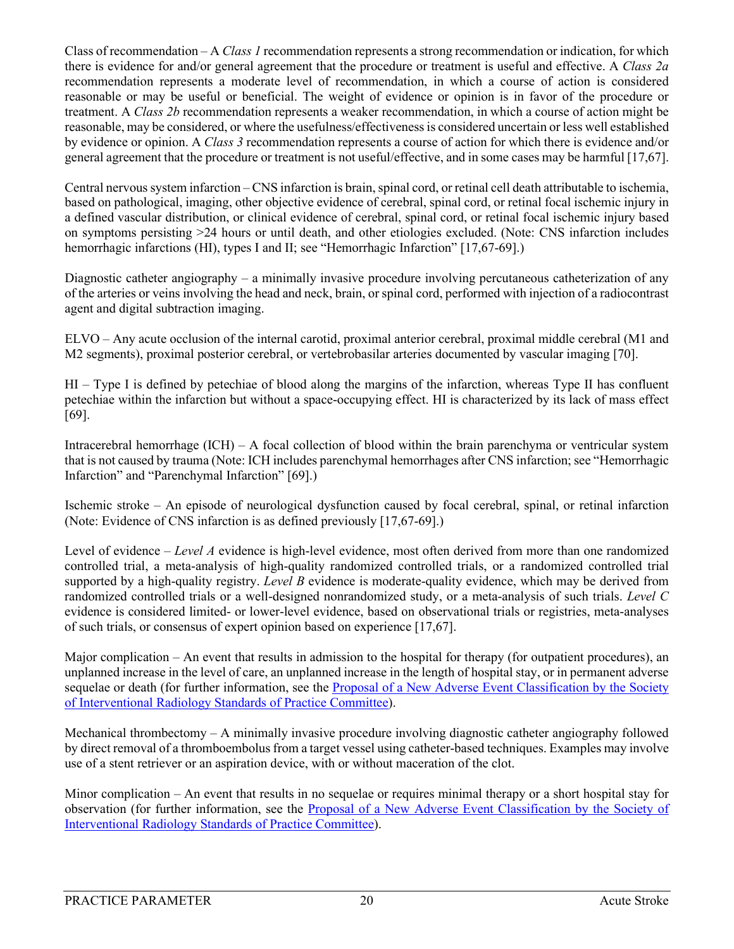Class of recommendation – A *Class 1* recommendation represents a strong recommendation or indication, for which there is evidence for and/or general agreement that the procedure or treatment is useful and effective. A *Class 2a* recommendation represents a moderate level of recommendation, in which a course of action is considered reasonable or may be useful or beneficial. The weight of evidence or opinion is in favor of the procedure or treatment. A *Class 2b* recommendation represents a weaker recommendation, in which a course of action might be reasonable, may be considered, or where the usefulness/effectiveness is considered uncertain or less well established by evidence or opinion. A *Class 3* recommendation represents a course of action for which there is evidence and/or general agreement that the procedure or treatment is not useful/effective, and in some cases may be harmful [\[17](#page-15-13)[,67\]](#page-18-3).

Central nervous system infarction – CNS infarction is brain, spinal cord, or retinal cell death attributable to ischemia, based on pathological, imaging, other objective evidence of cerebral, spinal cord, or retinal focal ischemic injury in a defined vascular distribution, or clinical evidence of cerebral, spinal cord, or retinal focal ischemic injury based on symptoms persisting >24 hours or until death, and other etiologies excluded. (Note: CNS infarction includes hemorrhagic infarctions (HI), types I and II; see "Hemorrhagic Infarction" [\[17](#page-15-13)[,67-69\]](#page-18-3).)

Diagnostic catheter angiography – a minimally invasive procedure involving percutaneous catheterization of any of the arteries or veins involving the head and neck, brain, or spinal cord, performed with injection of a radiocontrast agent and digital subtraction imaging.

ELVO – Any acute occlusion of the internal carotid, proximal anterior cerebral, proximal middle cerebral (M1 and M2 segments), proximal posterior cerebral, or vertebrobasilar arteries documented by vascular imaging [\[70\]](#page-18-4).

HI – Type I is defined by petechiae of blood along the margins of the infarction, whereas Type II has confluent petechiae within the infarction but without a space-occupying effect. HI is characterized by its lack of mass effect [\[69\]](#page-18-5).

Intracerebral hemorrhage (ICH) – A focal collection of blood within the brain parenchyma or ventricular system that is not caused by trauma (Note: ICH includes parenchymal hemorrhages after CNS infarction; see "Hemorrhagic Infarction" and "Parenchymal Infarction" [\[69\]](#page-18-5).)

Ischemic stroke – An episode of neurological dysfunction caused by focal cerebral, spinal, or retinal infarction (Note: Evidence of CNS infarction is as defined previously [\[17](#page-15-13)[,67-69\]](#page-18-3).)

Level of evidence – *Level A* evidence is high-level evidence, most often derived from more than one randomized controlled trial, a meta-analysis of high-quality randomized controlled trials, or a randomized controlled trial supported by a high-quality registry. *Level B* evidence is moderate-quality evidence, which may be derived from randomized controlled trials or a well-designed nonrandomized study, or a meta-analysis of such trials. *Level C* evidence is considered limited- or lower-level evidence, based on observational trials or registries, meta-analyses of such trials, or consensus of expert opinion based on experience [\[17](#page-15-13)[,67\]](#page-18-3).

Major complication – An event that results in admission to the hospital for therapy (for outpatient procedures), an unplanned increase in the level of care, an unplanned increase in the length of hospital stay, or in permanent adverse sequelae or death (for further information, see the [Proposal of a New Adverse Event Classification by the Society](https://www.jvir.org/article/S1051-0443(17)30576-6/pdf)  [of Interventional Radiology Standards of Practice Committee\)](https://www.jvir.org/article/S1051-0443(17)30576-6/pdf).

Mechanical thrombectomy – A minimally invasive procedure involving diagnostic catheter angiography followed by direct removal of a thromboembolus from a target vessel using catheter-based techniques. Examples may involve use of a stent retriever or an aspiration device, with or without maceration of the clot.

Minor complication – An event that results in no sequelae or requires minimal therapy or a short hospital stay for observation (for further information, see the [Proposal of a New Adverse Event Classification by the Society of](https://www.jvir.org/article/S1051-0443(17)30576-6/pdf)  [Interventional Radiology Standards of Practice Committee\)](https://www.jvir.org/article/S1051-0443(17)30576-6/pdf).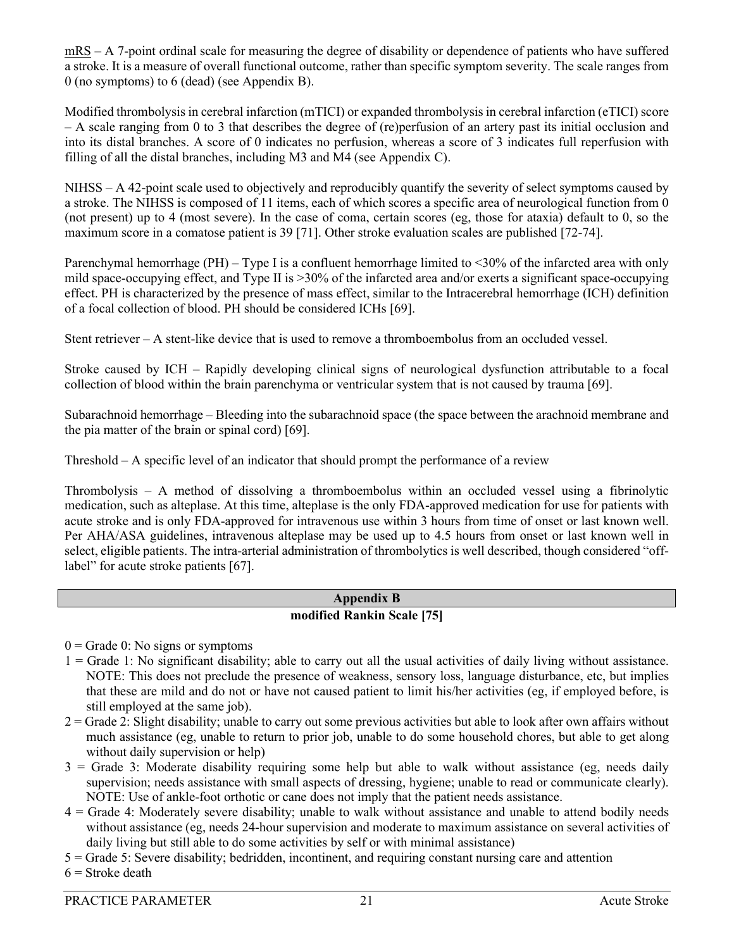mRS – A 7-point ordinal scale for measuring the degree of disability or dependence of patients who have suffered a stroke. It is a measure of overall functional outcome, rather than specific symptom severity. The scale ranges from 0 (no symptoms) to 6 (dead) (see Appendix B).

Modified thrombolysis in cerebral infarction (mTICI) or expanded thrombolysis in cerebral infarction (eTICI) score – A scale ranging from 0 to 3 that describes the degree of (re)perfusion of an artery past its initial occlusion and into its distal branches. A score of 0 indicates no perfusion, whereas a score of 3 indicates full reperfusion with filling of all the distal branches, including M3 and M4 (see Appendix C).

NIHSS – A 42-point scale used to objectively and reproducibly quantify the severity of select symptoms caused by a stroke. The NIHSS is composed of 11 items, each of which scores a specific area of neurological function from 0 (not present) up to 4 (most severe). In the case of coma, certain scores (eg, those for ataxia) default to 0, so the maximum score in a comatose patient is 39 [\[71\]](#page-18-6). Other stroke evaluation scales are published [\[72-74\]](#page-18-7).

Parenchymal hemorrhage (PH) – Type I is a confluent hemorrhage limited to <30% of the infarcted area with only mild space-occupying effect, and Type II is >30% of the infarcted area and/or exerts a significant space-occupying effect. PH is characterized by the presence of mass effect, similar to the Intracerebral hemorrhage (ICH) definition of a focal collection of blood. PH should be considered ICHs [\[69\]](#page-18-5).

Stent retriever – A stent-like device that is used to remove a thromboembolus from an occluded vessel.

Stroke caused by ICH – Rapidly developing clinical signs of neurological dysfunction attributable to a focal collection of blood within the brain parenchyma or ventricular system that is not caused by trauma [\[69\]](#page-18-5).

Subarachnoid hemorrhage – Bleeding into the subarachnoid space (the space between the arachnoid membrane and the pia matter of the brain or spinal cord) [\[69\]](#page-18-5).

Threshold – A specific level of an indicator that should prompt the performance of a review

Thrombolysis – A method of dissolving a thromboembolus within an occluded vessel using a fibrinolytic medication, such as alteplase. At this time, alteplase is the only FDA-approved medication for use for patients with acute stroke and is only FDA-approved for intravenous use within 3 hours from time of onset or last known well. Per AHA/ASA guidelines, intravenous alteplase may be used up to 4.5 hours from onset or last known well in select, eligible patients. The intra-arterial administration of thrombolytics is well described, though considered "off-label" for acute stroke patients [\[67\]](#page-18-3).

#### **Appendix B modified Rankin Scale [\[75\]](#page-18-8)**

 $0 =$  Grade 0: No signs or symptoms

- 1 = Grade 1: No significant disability; able to carry out all the usual activities of daily living without assistance. NOTE: This does not preclude the presence of weakness, sensory loss, language disturbance, etc, but implies that these are mild and do not or have not caused patient to limit his/her activities (eg, if employed before, is still employed at the same job).
- 2 = Grade 2: Slight disability; unable to carry out some previous activities but able to look after own affairs without much assistance (eg, unable to return to prior job, unable to do some household chores, but able to get along without daily supervision or help)
- $3$  = Grade 3: Moderate disability requiring some help but able to walk without assistance (eg, needs daily supervision; needs assistance with small aspects of dressing, hygiene; unable to read or communicate clearly). NOTE: Use of ankle-foot orthotic or cane does not imply that the patient needs assistance.
- 4 = Grade 4: Moderately severe disability; unable to walk without assistance and unable to attend bodily needs without assistance (eg, needs 24-hour supervision and moderate to maximum assistance on several activities of daily living but still able to do some activities by self or with minimal assistance)
- 5 = Grade 5: Severe disability; bedridden, incontinent, and requiring constant nursing care and attention
- $6$  = Stroke death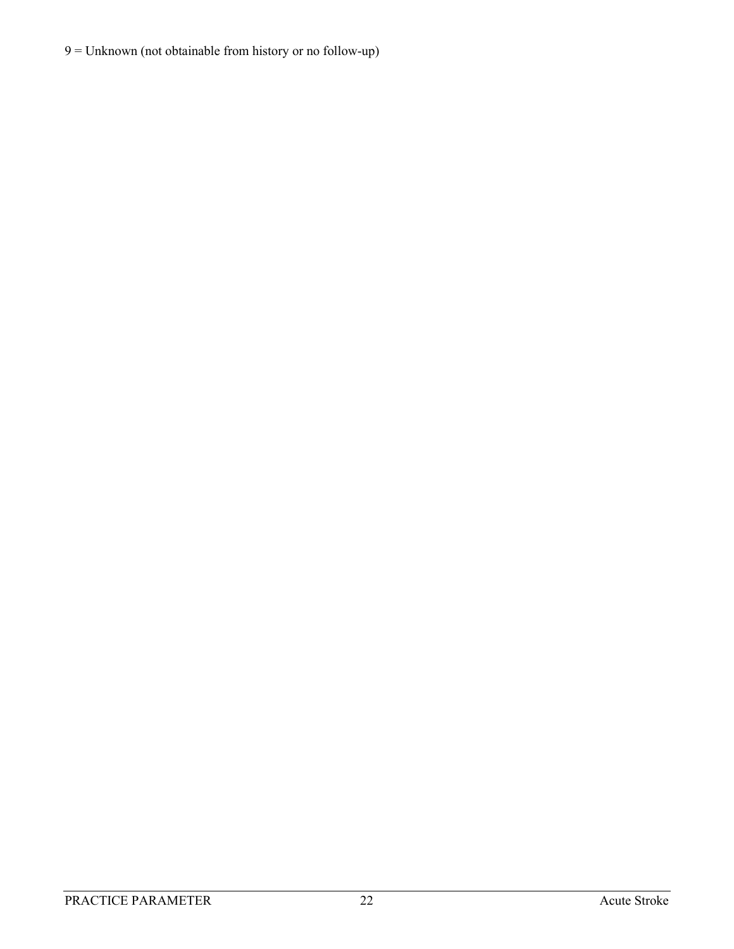## 9 = Unknown (not obtainable from history or no follow-up)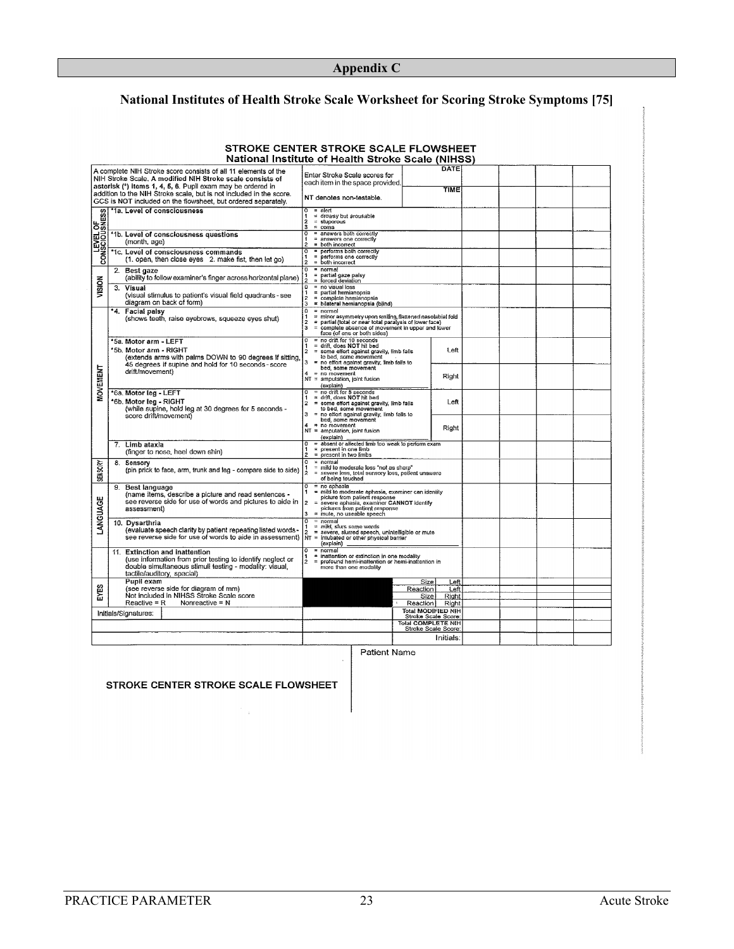## **Appendix C**

## **National Institutes of Health Stroke Scale Worksheet for Scoring Stroke Symptoms [75]**

| E CENTER STRORE SCALE FLOWSHEET<br>National Institute of Health Stroke Scale (NIHSS) |                                                                                                                                                                                                                                                                                                                                    |                                                                                                                                                                                                                                                                                                |                              |  |  |  |  |
|--------------------------------------------------------------------------------------|------------------------------------------------------------------------------------------------------------------------------------------------------------------------------------------------------------------------------------------------------------------------------------------------------------------------------------|------------------------------------------------------------------------------------------------------------------------------------------------------------------------------------------------------------------------------------------------------------------------------------------------|------------------------------|--|--|--|--|
|                                                                                      | A complete NIH Stroke score consists of all 11 elements of the<br>NIH Stroke Scale, A modified NIH Stroke scale consists of<br>asterisk (*) items 1, 4, 5, 6. Pupil exam may be ordered in<br>addition to the NIH Stroke scale, but is not included in the score.<br>GCS is NOT included on the flowsheet, but ordered separately. | Enter Stroke Scale scores for<br>each item in the space provided.<br>NT denotes non-testable.                                                                                                                                                                                                  | DATE<br><b>TIME</b>          |  |  |  |  |
| <b>LEVEL OF<br/>CONSCIOUSNESS</b>                                                    | '1a. Level of consciousness                                                                                                                                                                                                                                                                                                        | $0 =$ alert<br>1<br>= drowsy but arousable<br>2<br>$=$ stuporous<br>3<br>= coma                                                                                                                                                                                                                |                              |  |  |  |  |
|                                                                                      | *1b. Level of consciousness questions<br>(month, age)                                                                                                                                                                                                                                                                              | ठ<br>= answers both correctly<br>1<br>= answers one correctly<br>$\overline{2}$<br>= both incorrect                                                                                                                                                                                            |                              |  |  |  |  |
|                                                                                      | *1c. Level of consciousness commands<br>(1. open, then close eyes 2. make fist, then let go)                                                                                                                                                                                                                                       | = performs both correctly<br>o<br>$\equiv$<br>performs one correctly<br>1<br>$\overline{2}$<br>= both incorrect<br>$\overline{\mathfrak{o}}$<br>$=$ normal                                                                                                                                     |                              |  |  |  |  |
| VISION                                                                               | 2. Best gaze<br>(ability to follow examiner's finger across horizontal plane)<br>Visual<br>3.                                                                                                                                                                                                                                      | partial gaze palsy<br>$\equiv$<br>1<br>$\mathbf{r}$<br>forced deviation<br>o<br>$=$ no visual loss                                                                                                                                                                                             |                              |  |  |  |  |
|                                                                                      | (visual stimulus to patient's visual field quadrants - see<br>diagram on back of form)                                                                                                                                                                                                                                             | = partial hemianopsia<br>1<br>$\equiv$<br>complete hemianopsia<br>$\overline{\mathbf{z}}$<br>= bilateral hemianopsia (blind)<br>з                                                                                                                                                              |                              |  |  |  |  |
| <b>MOVEMENT</b>                                                                      | *4. Facial palsy<br>(shows teeth, raise eyebrows, squeeze eyes shut)                                                                                                                                                                                                                                                               | $\Omega$<br>$= normal$<br>minor asymmetry upon smiling, flattened nasolabial fold<br>1<br>$\mathbf{2}$<br>$\equiv$<br>partial (total or near total paralysis of lower face)<br>3<br>complete absence of movement in upper and lower<br>$=$<br>face (of one or both sides)                      |                              |  |  |  |  |
|                                                                                      | *5a. Motor arm - LEFT<br>*5b. Motor arm - RIGHT<br>(extends arms with palms DOWN to 90 degrees if sitting,<br>45 degrees if supine and hold for 10 seconds - score                                                                                                                                                                 | = no drift for 10 seconds<br>$^{\circ}$<br>= drift, does NOT hit bed<br>1<br>$\overline{2}$<br>= some effort against gravity, limb falls<br>to bed, some movement<br>$\mathbf{3}$<br>no effort against gravity, limb falls to                                                                  | Left                         |  |  |  |  |
|                                                                                      | drift/movement)                                                                                                                                                                                                                                                                                                                    | bed, some movement<br>4<br>$=$ no movement<br>NT = amputation, joint fusion<br>(explain)                                                                                                                                                                                                       | Right                        |  |  |  |  |
|                                                                                      | *6a. Motor leg - LEFT<br>*6b. Motor leg - RIGHT<br>(while supine, hold leg at 30 degrees for 5 seconds -<br>score drift/movement)                                                                                                                                                                                                  | $=$ no drift for 5 seconds<br>o<br>= drift, does NOT hit bed<br>1<br>ż<br>some effort against gravity, limb falls<br>$\equiv$<br>to bed, some movement<br>3<br>$\equiv$<br>no effort against gravity, limb falls to                                                                            | Left                         |  |  |  |  |
|                                                                                      |                                                                                                                                                                                                                                                                                                                                    | bed, some movement<br>4<br># no movement<br>NT = amputation, joint fusion<br>(explain)                                                                                                                                                                                                         | Right                        |  |  |  |  |
|                                                                                      | 7. Limb ataxia<br>(finger to nose, heel down shin)                                                                                                                                                                                                                                                                                 | = absent or affected limb too weak to perform exam<br>o<br>= present in one limb<br>1<br>$\overline{2}$<br>$=$ present in two limbs                                                                                                                                                            |                              |  |  |  |  |
| <b>SENSORY</b>                                                                       | 8.<br>Sensory<br>(pin prick to face, arm, trunk and leg - compare side to side)                                                                                                                                                                                                                                                    | ٥<br>= normal<br>mild to moderate loss "not as sharp"<br>$\equiv$<br>$\overline{2}$<br>$=$<br>severe loss, total sensory loss, patient unaware<br>of being touched                                                                                                                             |                              |  |  |  |  |
| LANGUAGE                                                                             | <b>Best language</b><br>9.<br>(name items, describe a picture and read sentences -<br>see reverse side for use of words and pictures to aide in<br>assessment)                                                                                                                                                                     | $\overline{\mathfrak{o}}$<br>$=$ no aphasia<br>$=$<br>mild to moderate aphasia, examiner can identity<br>picture from patient response<br>$\overline{2}$<br>severe aphasia, examiner CANNOT identify<br>$\equiv$<br>pictures from patient response<br>3<br>mute, no useable speech<br>$\equiv$ |                              |  |  |  |  |
|                                                                                      | 10. Dysarthria<br>(evaluate speech clarity by patient repeating listed words-<br>see reverse side for use of words to aide in assessment)                                                                                                                                                                                          | $\overline{\mathfrak{o}}$<br>$= normal$<br>$\mathfrak{m}$<br>mild, slurs some words<br>1<br>$\overline{2}$<br>$=$<br>severe, slurred speech, unintelligible or mute<br>$MT =$<br>intubated or other physical barrier<br>(explain)                                                              |                              |  |  |  |  |
|                                                                                      | 11. Extinction and inattention<br>(use information from prior testing to identify neglect or<br>double simultaneous stimuli testing - modality: visual<br>tactile/auditory, spacial)                                                                                                                                               | normal<br>ᡒ<br>∓<br>$\equiv$<br>inattention or extinction in one modality<br>2<br>profound hemi-inattention or hemi-inattention in<br>more than one modality                                                                                                                                   |                              |  |  |  |  |
| EYES                                                                                 | Pupil exam<br>(see reverse side for diagram of mm)<br>Not included in NIHSS Stroke Scale score                                                                                                                                                                                                                                     | Size<br>Reaction<br>Size                                                                                                                                                                                                                                                                       | Left<br>Left<br>Right        |  |  |  |  |
| $Reactive = R$<br>Nonreactive = N<br>Initials/Signatures:                            |                                                                                                                                                                                                                                                                                                                                    | Reaction<br>Total MODIFIED NIH                                                                                                                                                                                                                                                                 | Right<br>Stroke Scale Score: |  |  |  |  |
|                                                                                      |                                                                                                                                                                                                                                                                                                                                    | <b>Total COMPLETE NIH</b><br>Stroke Scale Score:                                                                                                                                                                                                                                               | Initials:                    |  |  |  |  |
|                                                                                      |                                                                                                                                                                                                                                                                                                                                    |                                                                                                                                                                                                                                                                                                |                              |  |  |  |  |

# STROKE CENTER STROKE SCALE ELOWSHEET

Patient Name

#### STROKE CENTER STROKE SCALE FLOWSHEET

Îπ,